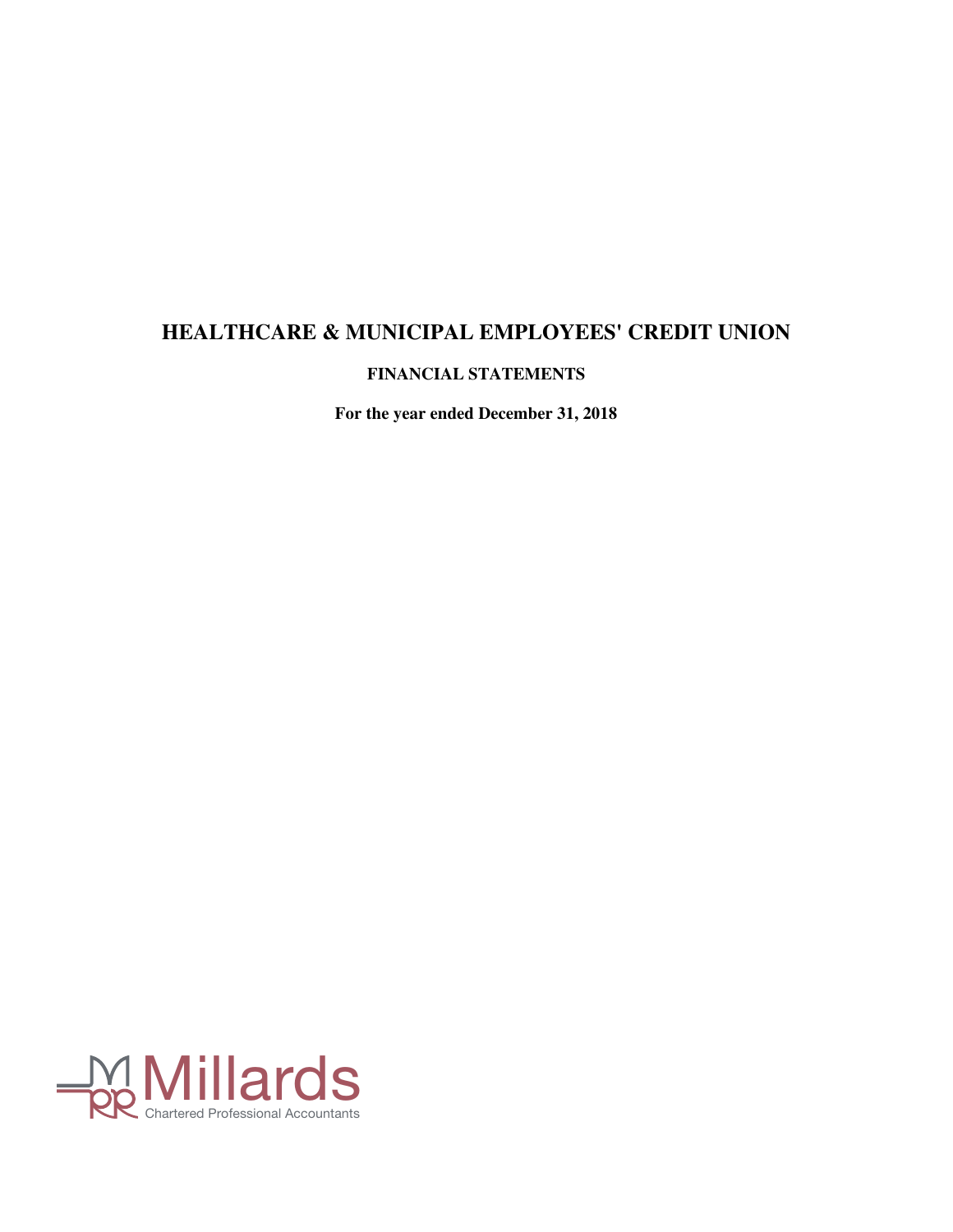**FINANCIAL STATEMENTS**

**For the year ended December 31, 2018**

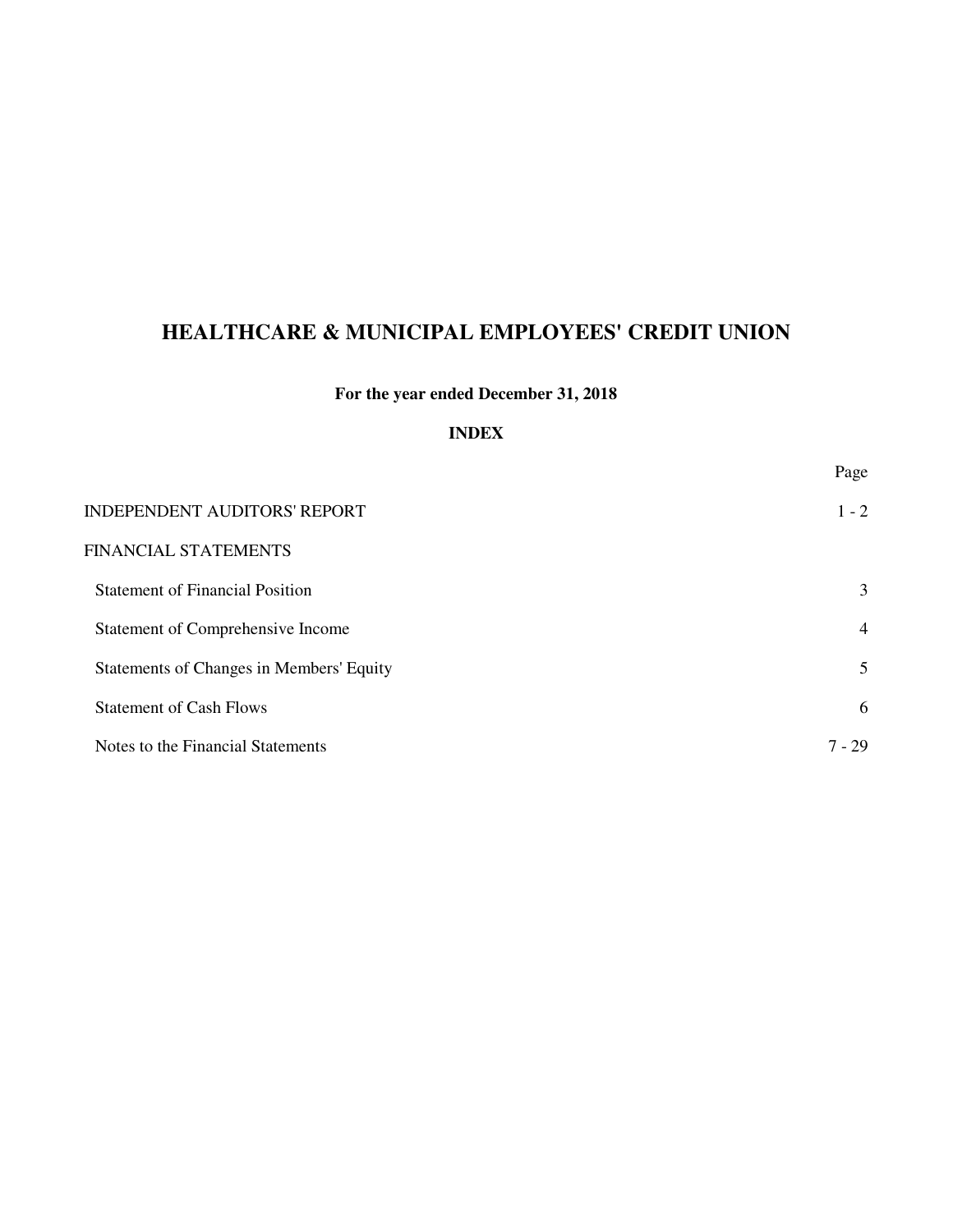## **For the year ended December 31, 2018**

## **INDEX**

|                                          | Page           |
|------------------------------------------|----------------|
| <b>INDEPENDENT AUDITORS' REPORT</b>      | $1 - 2$        |
| FINANCIAL STATEMENTS                     |                |
| <b>Statement of Financial Position</b>   | 3              |
| Statement of Comprehensive Income        | $\overline{4}$ |
| Statements of Changes in Members' Equity | 5              |
| <b>Statement of Cash Flows</b>           | 6              |
| Notes to the Financial Statements        | $7 - 29$       |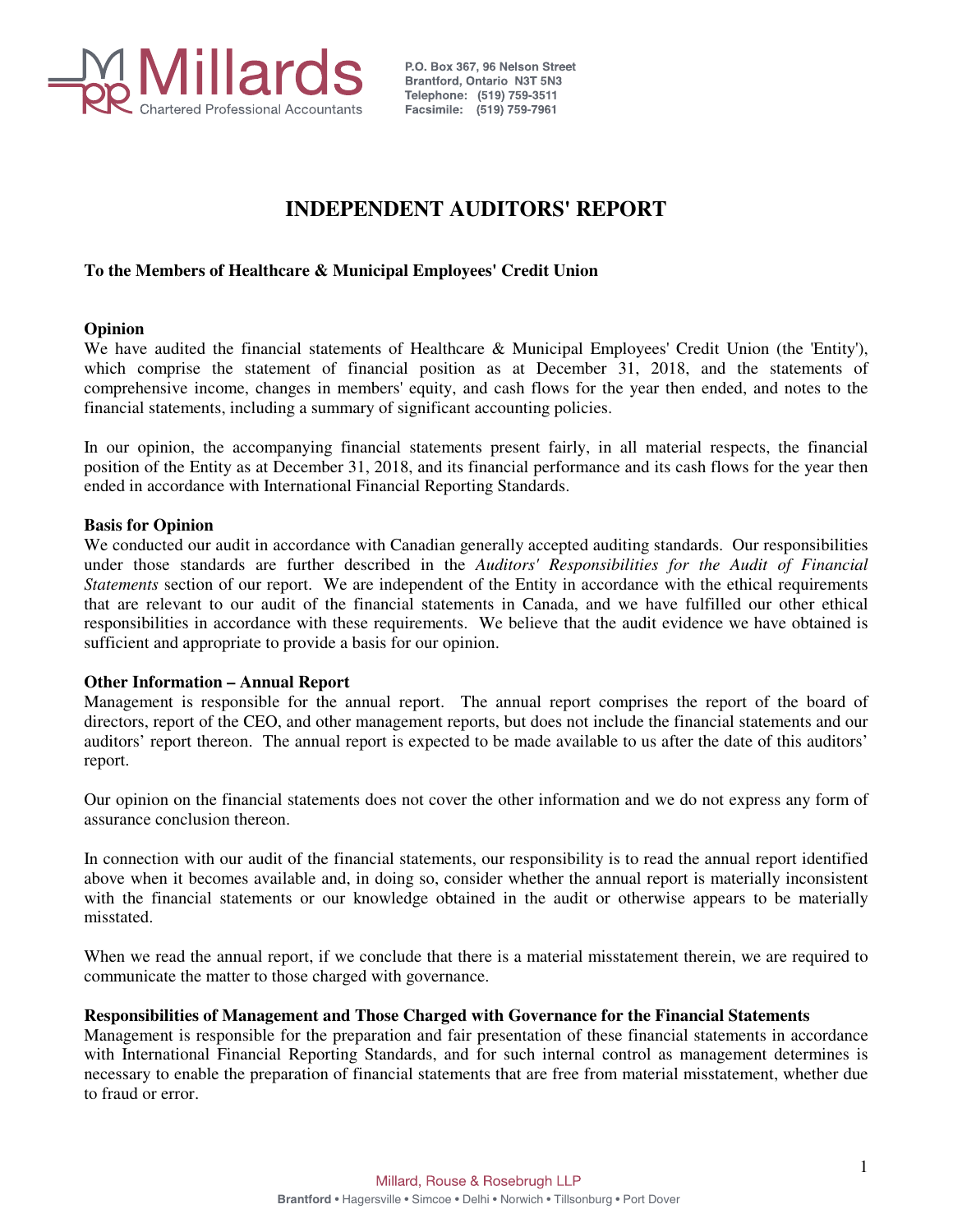

P.O. Box 367, 96 Nelson Street **Brantford, Ontario N3T 5N3** Telephone: (519) 759-3511 Facsimile: (519) 759-7961

## **INDEPENDENT AUDITORS' REPORT**

### **To the Members of Healthcare & Municipal Employees' Credit Union**

#### **Opinion**

We have audited the financial statements of Healthcare & Municipal Employees' Credit Union (the 'Entity'), which comprise the statement of financial position as at December 31, 2018, and the statements of comprehensive income, changes in members' equity, and cash flows for the year then ended, and notes to the financial statements, including a summary of significant accounting policies.

In our opinion, the accompanying financial statements present fairly, in all material respects, the financial position of the Entity as at December 31, 2018, and its financial performance and its cash flows for the year then ended in accordance with International Financial Reporting Standards.

#### **Basis for Opinion**

We conducted our audit in accordance with Canadian generally accepted auditing standards. Our responsibilities under those standards are further described in the *Auditors' Responsibilities for the Audit of Financial Statements* section of our report. We are independent of the Entity in accordance with the ethical requirements that are relevant to our audit of the financial statements in Canada, and we have fulfilled our other ethical responsibilities in accordance with these requirements. We believe that the audit evidence we have obtained is sufficient and appropriate to provide a basis for our opinion.

#### **Other Information – Annual Report**

Management is responsible for the annual report. The annual report comprises the report of the board of directors, report of the CEO, and other management reports, but does not include the financial statements and our auditors' report thereon. The annual report is expected to be made available to us after the date of this auditors' report.

Our opinion on the financial statements does not cover the other information and we do not express any form of assurance conclusion thereon.

In connection with our audit of the financial statements, our responsibility is to read the annual report identified above when it becomes available and, in doing so, consider whether the annual report is materially inconsistent with the financial statements or our knowledge obtained in the audit or otherwise appears to be materially misstated.

When we read the annual report, if we conclude that there is a material misstatement therein, we are required to communicate the matter to those charged with governance.

#### **Responsibilities of Management and Those Charged with Governance for the Financial Statements**

Management is responsible for the preparation and fair presentation of these financial statements in accordance with International Financial Reporting Standards, and for such internal control as management determines is necessary to enable the preparation of financial statements that are free from material misstatement, whether due to fraud or error.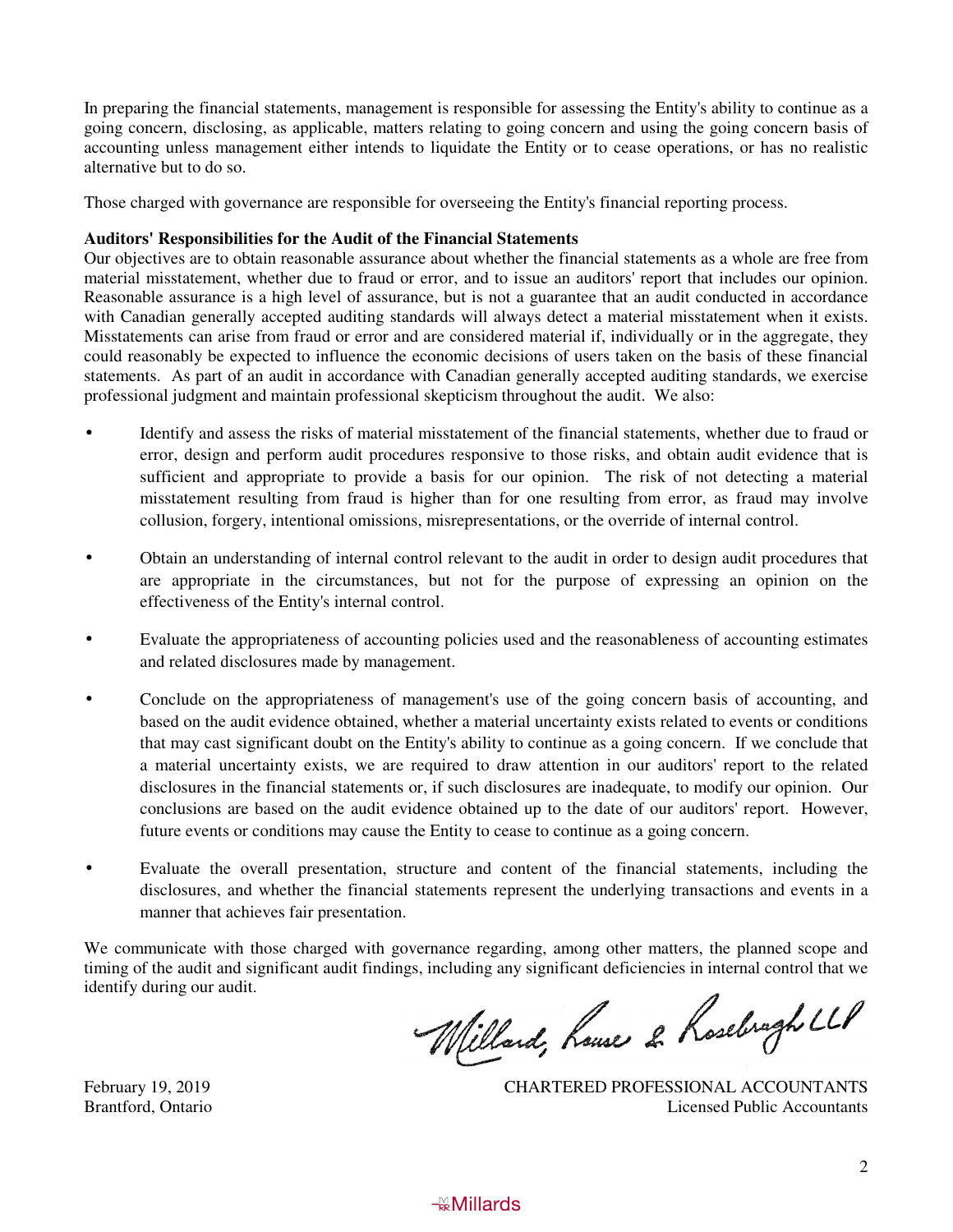In preparing the financial statements, management is responsible for assessing the Entity's ability to continue as a going concern, disclosing, as applicable, matters relating to going concern and using the going concern basis of accounting unless management either intends to liquidate the Entity or to cease operations, or has no realistic alternative but to do so.

Those charged with governance are responsible for overseeing the Entity's financial reporting process.

#### **Auditors' Responsibilities for the Audit of the Financial Statements**

Our objectives are to obtain reasonable assurance about whether the financial statements as a whole are free from material misstatement, whether due to fraud or error, and to issue an auditors' report that includes our opinion. Reasonable assurance is a high level of assurance, but is not a guarantee that an audit conducted in accordance with Canadian generally accepted auditing standards will always detect a material misstatement when it exists. Misstatements can arise from fraud or error and are considered material if, individually or in the aggregate, they could reasonably be expected to influence the economic decisions of users taken on the basis of these financial statements. As part of an audit in accordance with Canadian generally accepted auditing standards, we exercise professional judgment and maintain professional skepticism throughout the audit. We also:

- Identify and assess the risks of material misstatement of the financial statements, whether due to fraud or error, design and perform audit procedures responsive to those risks, and obtain audit evidence that is sufficient and appropriate to provide a basis for our opinion. The risk of not detecting a material misstatement resulting from fraud is higher than for one resulting from error, as fraud may involve collusion, forgery, intentional omissions, misrepresentations, or the override of internal control.
- Obtain an understanding of internal control relevant to the audit in order to design audit procedures that are appropriate in the circumstances, but not for the purpose of expressing an opinion on the effectiveness of the Entity's internal control.
- Evaluate the appropriateness of accounting policies used and the reasonableness of accounting estimates and related disclosures made by management.
- Conclude on the appropriateness of management's use of the going concern basis of accounting, and based on the audit evidence obtained, whether a material uncertainty exists related to events or conditions that may cast significant doubt on the Entity's ability to continue as a going concern. If we conclude that a material uncertainty exists, we are required to draw attention in our auditors' report to the related disclosures in the financial statements or, if such disclosures are inadequate, to modify our opinion. Our conclusions are based on the audit evidence obtained up to the date of our auditors' report. However, future events or conditions may cause the Entity to cease to continue as a going concern.
- Evaluate the overall presentation, structure and content of the financial statements, including the disclosures, and whether the financial statements represent the underlying transactions and events in a manner that achieves fair presentation.

We communicate with those charged with governance regarding, among other matters, the planned scope and timing of the audit and significant audit findings, including any significant deficiencies in internal control that we identify during our audit.

Willard, house 2 Rosebragh LLP

February 19, 2019<br>
CHARTERED PROFESSIONAL ACCOUNTANTS<br>
Licensed Public Accountants **Licensed Public Accountants** 

## **AB** Millards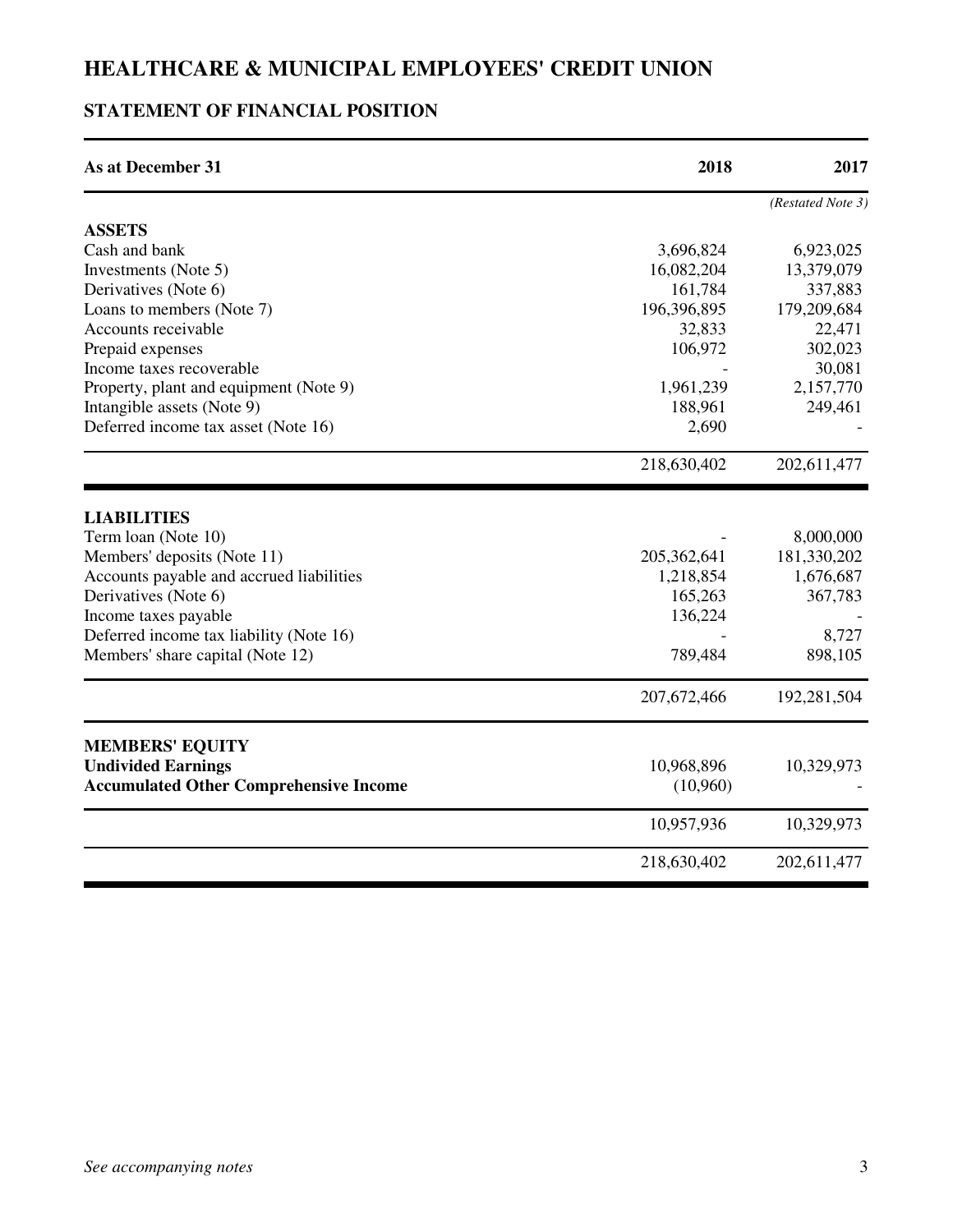## **STATEMENT OF FINANCIAL POSITION**

| <b>As at December 31</b>                      | 2018          | 2017              |
|-----------------------------------------------|---------------|-------------------|
|                                               |               | (Restated Note 3) |
| <b>ASSETS</b>                                 |               |                   |
| Cash and bank                                 | 3,696,824     | 6,923,025         |
| Investments (Note 5)                          | 16,082,204    | 13,379,079        |
| Derivatives (Note 6)                          | 161,784       | 337,883           |
| Loans to members (Note 7)                     | 196,396,895   | 179,209,684       |
| Accounts receivable                           | 32,833        | 22,471            |
| Prepaid expenses                              | 106,972       | 302,023           |
| Income taxes recoverable                      |               | 30,081            |
| Property, plant and equipment (Note 9)        | 1,961,239     | 2,157,770         |
| Intangible assets (Note 9)                    | 188,961       | 249,461           |
| Deferred income tax asset (Note 16)           | 2,690         |                   |
|                                               | 218,630,402   | 202,611,477       |
| <b>LIABILITIES</b>                            |               |                   |
| Term loan (Note 10)                           |               | 8,000,000         |
| Members' deposits (Note 11)                   | 205,362,641   | 181,330,202       |
| Accounts payable and accrued liabilities      | 1,218,854     | 1,676,687         |
| Derivatives (Note 6)                          | 165,263       | 367,783           |
| Income taxes payable                          | 136,224       |                   |
| Deferred income tax liability (Note 16)       |               | 8,727             |
| Members' share capital (Note 12)              | 789,484       | 898,105           |
|                                               | 207, 672, 466 | 192,281,504       |
| <b>MEMBERS' EQUITY</b>                        |               |                   |
| <b>Undivided Earnings</b>                     | 10,968,896    | 10,329,973        |
| <b>Accumulated Other Comprehensive Income</b> | (10,960)      |                   |
|                                               | 10,957,936    | 10,329,973        |
|                                               | 218,630,402   | 202,611,477       |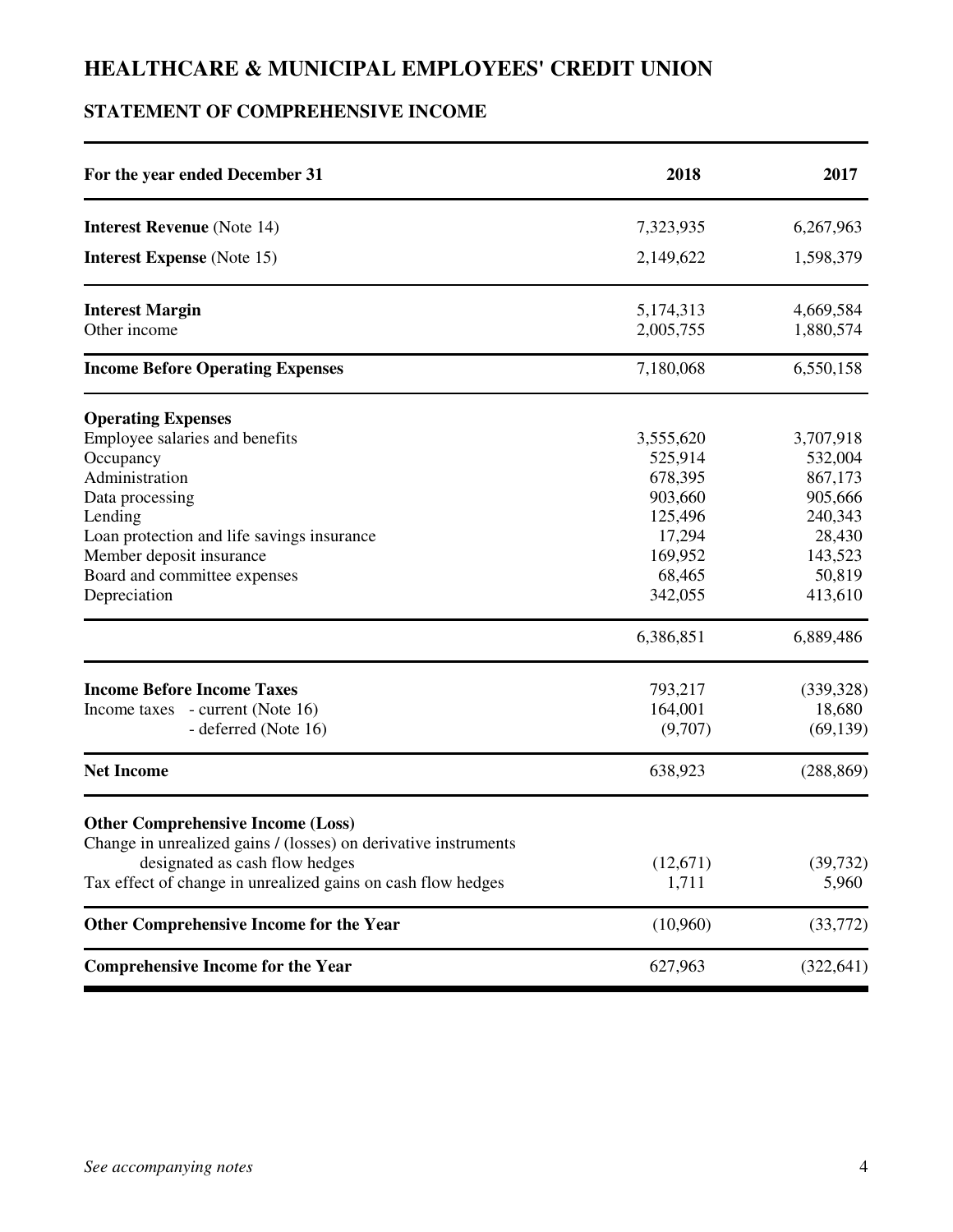## **STATEMENT OF COMPREHENSIVE INCOME**

| For the year ended December 31                                  | 2018                   | 2017                   |
|-----------------------------------------------------------------|------------------------|------------------------|
| <b>Interest Revenue</b> (Note 14)                               | 7,323,935              | 6,267,963              |
| <b>Interest Expense</b> (Note 15)                               | 2,149,622              | 1,598,379              |
| <b>Interest Margin</b><br>Other income                          | 5,174,313<br>2,005,755 | 4,669,584<br>1,880,574 |
| <b>Income Before Operating Expenses</b>                         | 7,180,068              | 6,550,158              |
| <b>Operating Expenses</b>                                       |                        |                        |
| Employee salaries and benefits                                  | 3,555,620              | 3,707,918              |
| Occupancy                                                       | 525,914                | 532,004                |
| Administration                                                  | 678,395                | 867,173                |
| Data processing                                                 | 903,660                | 905,666                |
| Lending                                                         | 125,496                | 240,343                |
| Loan protection and life savings insurance                      | 17,294                 | 28,430                 |
| Member deposit insurance                                        | 169,952                | 143,523                |
| Board and committee expenses                                    | 68,465                 | 50,819                 |
| Depreciation                                                    | 342,055                | 413,610                |
|                                                                 | 6,386,851              | 6,889,486              |
| <b>Income Before Income Taxes</b>                               | 793,217                | (339, 328)             |
| Income taxes - current (Note 16)                                | 164,001                | 18,680                 |
| - deferred (Note 16)                                            | (9,707)                | (69, 139)              |
| <b>Net Income</b>                                               | 638,923                | (288, 869)             |
| <b>Other Comprehensive Income (Loss)</b>                        |                        |                        |
| Change in unrealized gains / (losses) on derivative instruments |                        |                        |
| designated as cash flow hedges                                  | (12,671)               | (39, 732)              |
| Tax effect of change in unrealized gains on cash flow hedges    | 1,711                  | 5,960                  |
| <b>Other Comprehensive Income for the Year</b>                  | (10,960)               | (33, 772)              |
| <b>Comprehensive Income for the Year</b>                        | 627,963                | (322, 641)             |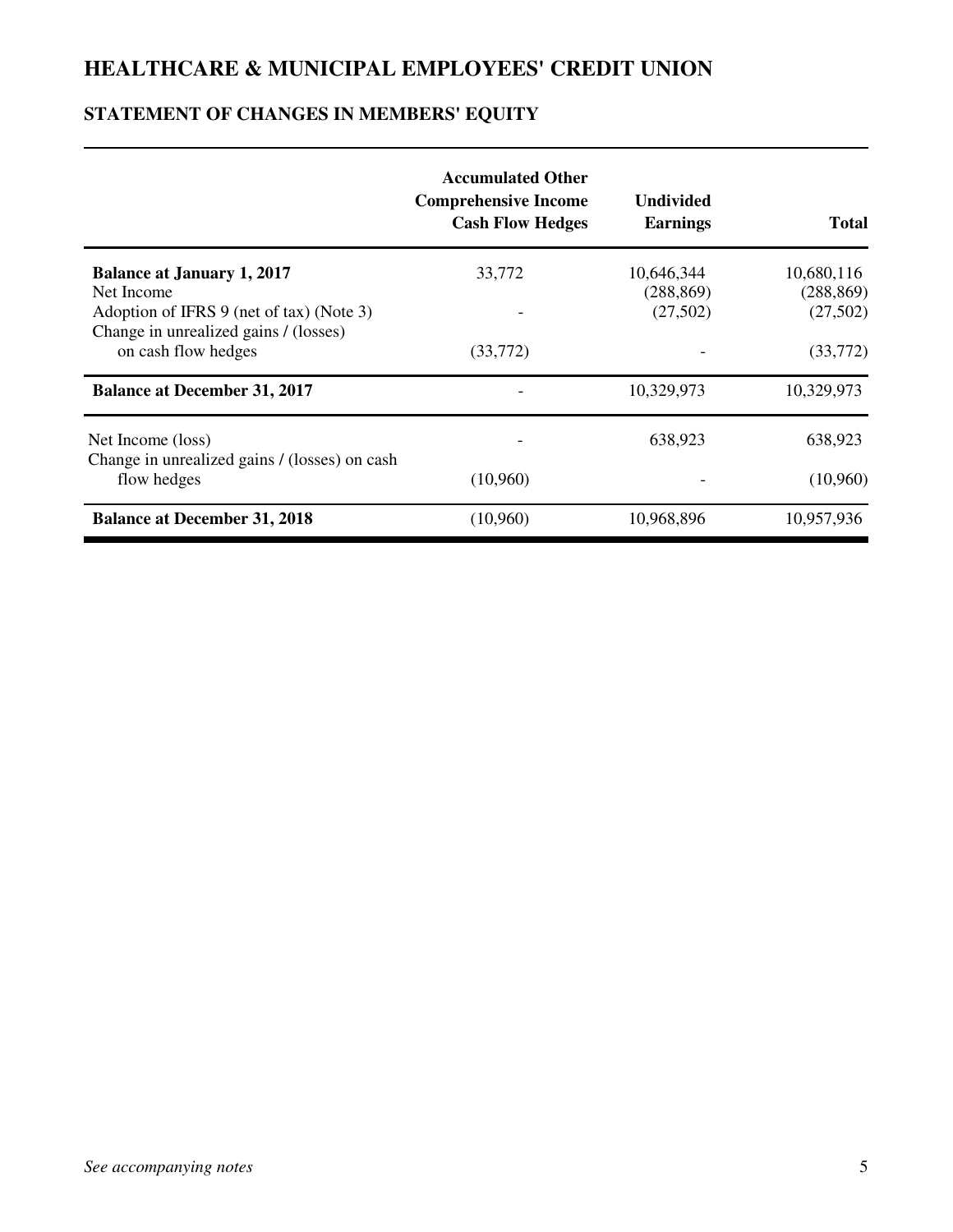## **STATEMENT OF CHANGES IN MEMBERS' EQUITY**

|                                                                                                 | <b>Accumulated Other</b><br><b>Comprehensive Income</b><br><b>Cash Flow Hedges</b> | <b>Undivided</b><br><b>Earnings</b> | <b>Total</b>           |
|-------------------------------------------------------------------------------------------------|------------------------------------------------------------------------------------|-------------------------------------|------------------------|
| <b>Balance at January 1, 2017</b>                                                               | 33,772                                                                             | 10,646,344                          | 10,680,116             |
| Net Income<br>Adoption of IFRS 9 (net of tax) (Note 3)<br>Change in unrealized gains / (losses) |                                                                                    | (288, 869)<br>(27,502)              | (288, 869)<br>(27,502) |
| on cash flow hedges                                                                             | (33,772)                                                                           |                                     | (33,772)               |
| <b>Balance at December 31, 2017</b>                                                             |                                                                                    | 10,329,973                          | 10,329,973             |
| Net Income (loss)<br>Change in unrealized gains / (losses) on cash                              |                                                                                    | 638,923                             | 638,923                |
| flow hedges                                                                                     | (10,960)                                                                           |                                     | (10,960)               |
| <b>Balance at December 31, 2018</b>                                                             | (10,960)                                                                           | 10,968,896                          | 10,957,936             |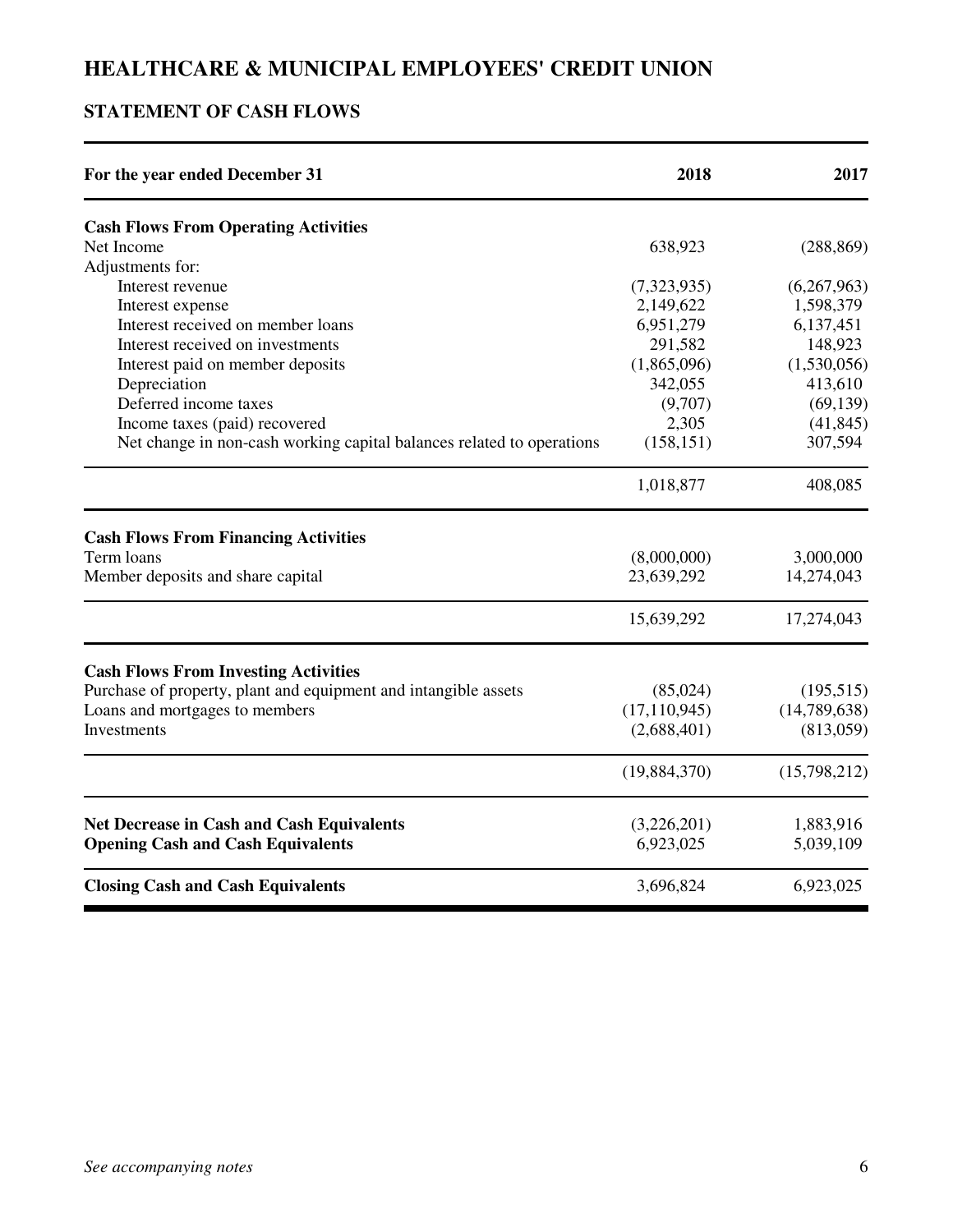## **STATEMENT OF CASH FLOWS**

| For the year ended December 31                                        | 2018           | 2017         |
|-----------------------------------------------------------------------|----------------|--------------|
| <b>Cash Flows From Operating Activities</b>                           |                |              |
| Net Income                                                            | 638,923        | (288, 869)   |
| Adjustments for:                                                      |                |              |
| Interest revenue                                                      | (7,323,935)    | (6,267,963)  |
| Interest expense                                                      | 2,149,622      | 1,598,379    |
| Interest received on member loans                                     | 6,951,279      | 6,137,451    |
| Interest received on investments                                      | 291,582        | 148,923      |
| Interest paid on member deposits                                      | (1,865,096)    | (1,530,056)  |
| Depreciation                                                          | 342,055        | 413,610      |
| Deferred income taxes                                                 | (9,707)        | (69, 139)    |
| Income taxes (paid) recovered                                         | 2,305          | (41, 845)    |
| Net change in non-cash working capital balances related to operations | (158, 151)     | 307,594      |
|                                                                       | 1,018,877      | 408,085      |
| <b>Cash Flows From Financing Activities</b>                           |                |              |
| Term loans                                                            | (8,000,000)    | 3,000,000    |
| Member deposits and share capital                                     | 23,639,292     | 14,274,043   |
|                                                                       | 15,639,292     | 17,274,043   |
| <b>Cash Flows From Investing Activities</b>                           |                |              |
| Purchase of property, plant and equipment and intangible assets       | (85,024)       | (195, 515)   |
| Loans and mortgages to members                                        | (17, 110, 945) | (14,789,638) |
| Investments                                                           | (2,688,401)    | (813,059)    |
|                                                                       | (19,884,370)   | (15,798,212) |
| <b>Net Decrease in Cash and Cash Equivalents</b>                      | (3,226,201)    | 1,883,916    |
| <b>Opening Cash and Cash Equivalents</b>                              | 6,923,025      | 5,039,109    |
| <b>Closing Cash and Cash Equivalents</b>                              | 3,696,824      | 6,923,025    |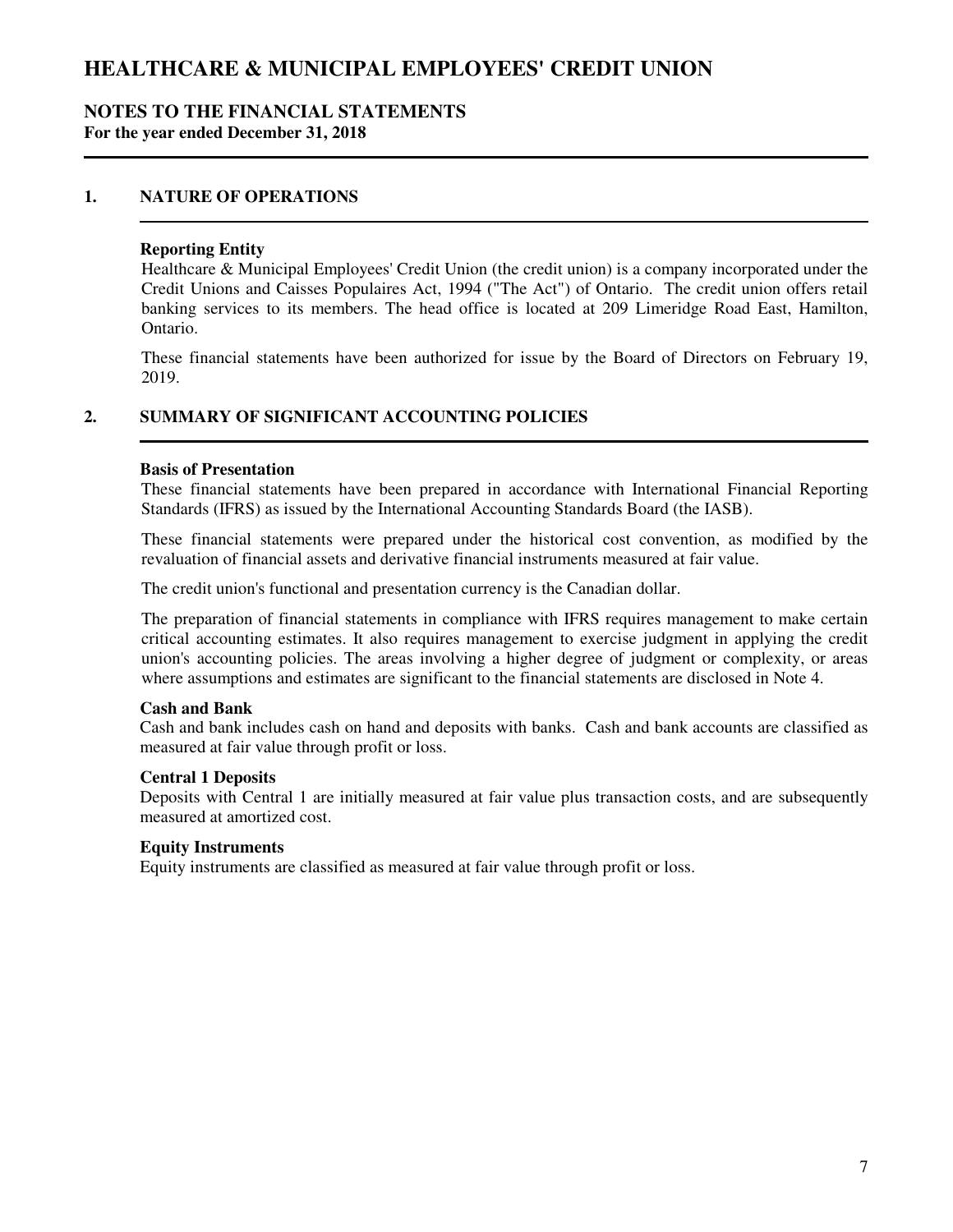### **NOTES TO THE FINANCIAL STATEMENTS For the year ended December 31, 2018**

### **1. NATURE OF OPERATIONS**

#### **Reporting Entity**

Healthcare & Municipal Employees' Credit Union (the credit union) is a company incorporated under the Credit Unions and Caisses Populaires Act, 1994 ("The Act") of Ontario. The credit union offers retail banking services to its members. The head office is located at 209 Limeridge Road East, Hamilton, Ontario.

These financial statements have been authorized for issue by the Board of Directors on February 19, 2019.

### **2. SUMMARY OF SIGNIFICANT ACCOUNTING POLICIES**

#### **Basis of Presentation**

These financial statements have been prepared in accordance with International Financial Reporting Standards (IFRS) as issued by the International Accounting Standards Board (the IASB).

These financial statements were prepared under the historical cost convention, as modified by the revaluation of financial assets and derivative financial instruments measured at fair value.

The credit union's functional and presentation currency is the Canadian dollar.

The preparation of financial statements in compliance with IFRS requires management to make certain critical accounting estimates. It also requires management to exercise judgment in applying the credit union's accounting policies. The areas involving a higher degree of judgment or complexity, or areas where assumptions and estimates are significant to the financial statements are disclosed in Note 4.

#### **Cash and Bank**

Cash and bank includes cash on hand and deposits with banks. Cash and bank accounts are classified as measured at fair value through profit or loss.

### **Central 1 Deposits**

Deposits with Central 1 are initially measured at fair value plus transaction costs, and are subsequently measured at amortized cost.

#### **Equity Instruments**

Equity instruments are classified as measured at fair value through profit or loss.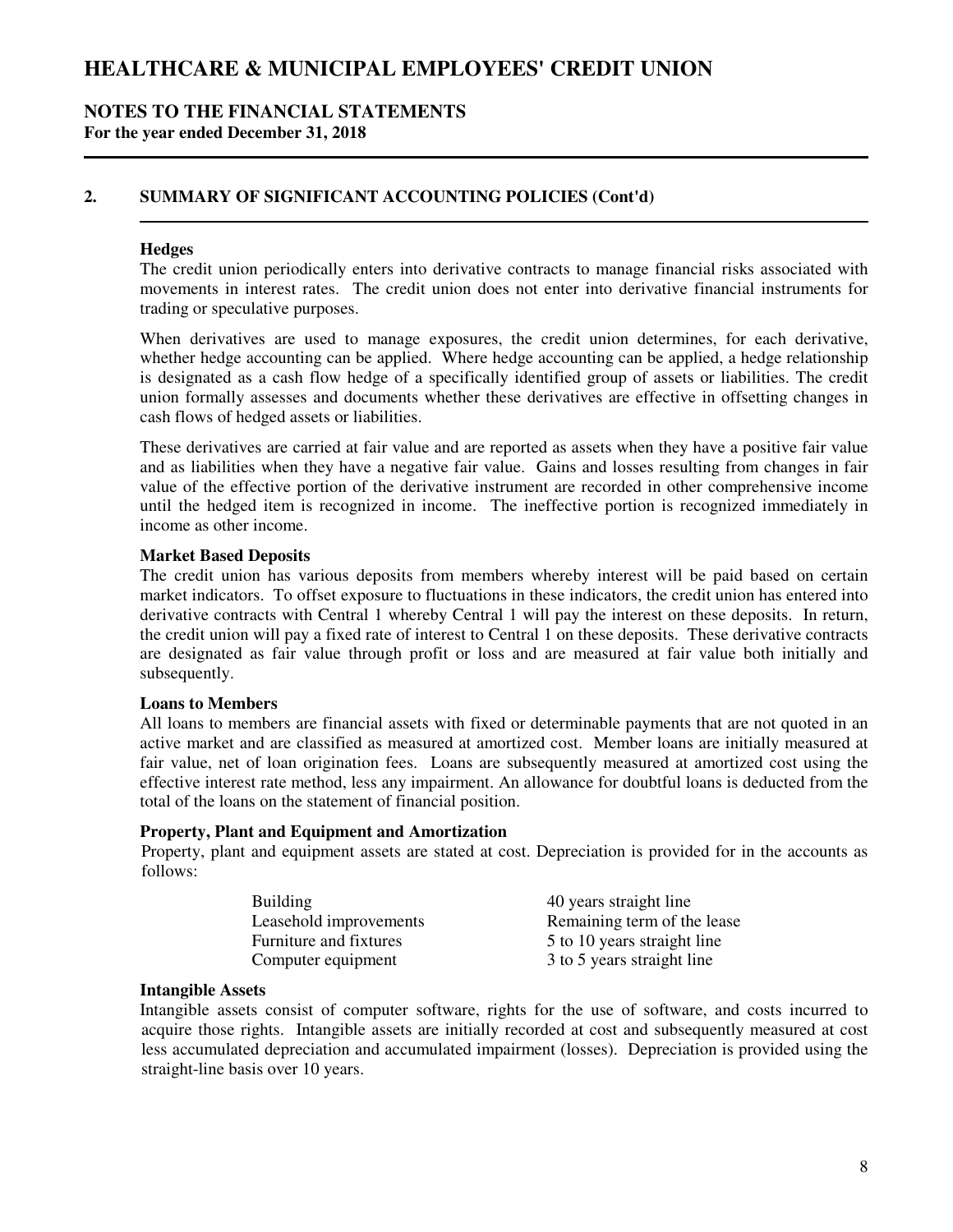### **NOTES TO THE FINANCIAL STATEMENTS For the year ended December 31, 2018**

## **2. SUMMARY OF SIGNIFICANT ACCOUNTING POLICIES (Cont'd)**

### **Hedges**

The credit union periodically enters into derivative contracts to manage financial risks associated with movements in interest rates. The credit union does not enter into derivative financial instruments for trading or speculative purposes.

When derivatives are used to manage exposures, the credit union determines, for each derivative, whether hedge accounting can be applied. Where hedge accounting can be applied, a hedge relationship is designated as a cash flow hedge of a specifically identified group of assets or liabilities. The credit union formally assesses and documents whether these derivatives are effective in offsetting changes in cash flows of hedged assets or liabilities.

These derivatives are carried at fair value and are reported as assets when they have a positive fair value and as liabilities when they have a negative fair value. Gains and losses resulting from changes in fair value of the effective portion of the derivative instrument are recorded in other comprehensive income until the hedged item is recognized in income. The ineffective portion is recognized immediately in income as other income.

#### **Market Based Deposits**

The credit union has various deposits from members whereby interest will be paid based on certain market indicators. To offset exposure to fluctuations in these indicators, the credit union has entered into derivative contracts with Central 1 whereby Central 1 will pay the interest on these deposits. In return, the credit union will pay a fixed rate of interest to Central 1 on these deposits. These derivative contracts are designated as fair value through profit or loss and are measured at fair value both initially and subsequently.

### **Loans to Members**

All loans to members are financial assets with fixed or determinable payments that are not quoted in an active market and are classified as measured at amortized cost. Member loans are initially measured at fair value, net of loan origination fees. Loans are subsequently measured at amortized cost using the effective interest rate method, less any impairment. An allowance for doubtful loans is deducted from the total of the loans on the statement of financial position.

#### **Property, Plant and Equipment and Amortization**

Property, plant and equipment assets are stated at cost. Depreciation is provided for in the accounts as follows:

| <b>Building</b>        | 40 years straight line      |
|------------------------|-----------------------------|
| Leasehold improvements | Remaining term of the lease |
| Furniture and fixtures | 5 to 10 years straight line |
| Computer equipment     | 3 to 5 years straight line  |

#### **Intangible Assets**

Intangible assets consist of computer software, rights for the use of software, and costs incurred to acquire those rights. Intangible assets are initially recorded at cost and subsequently measured at cost less accumulated depreciation and accumulated impairment (losses). Depreciation is provided using the straight-line basis over 10 years.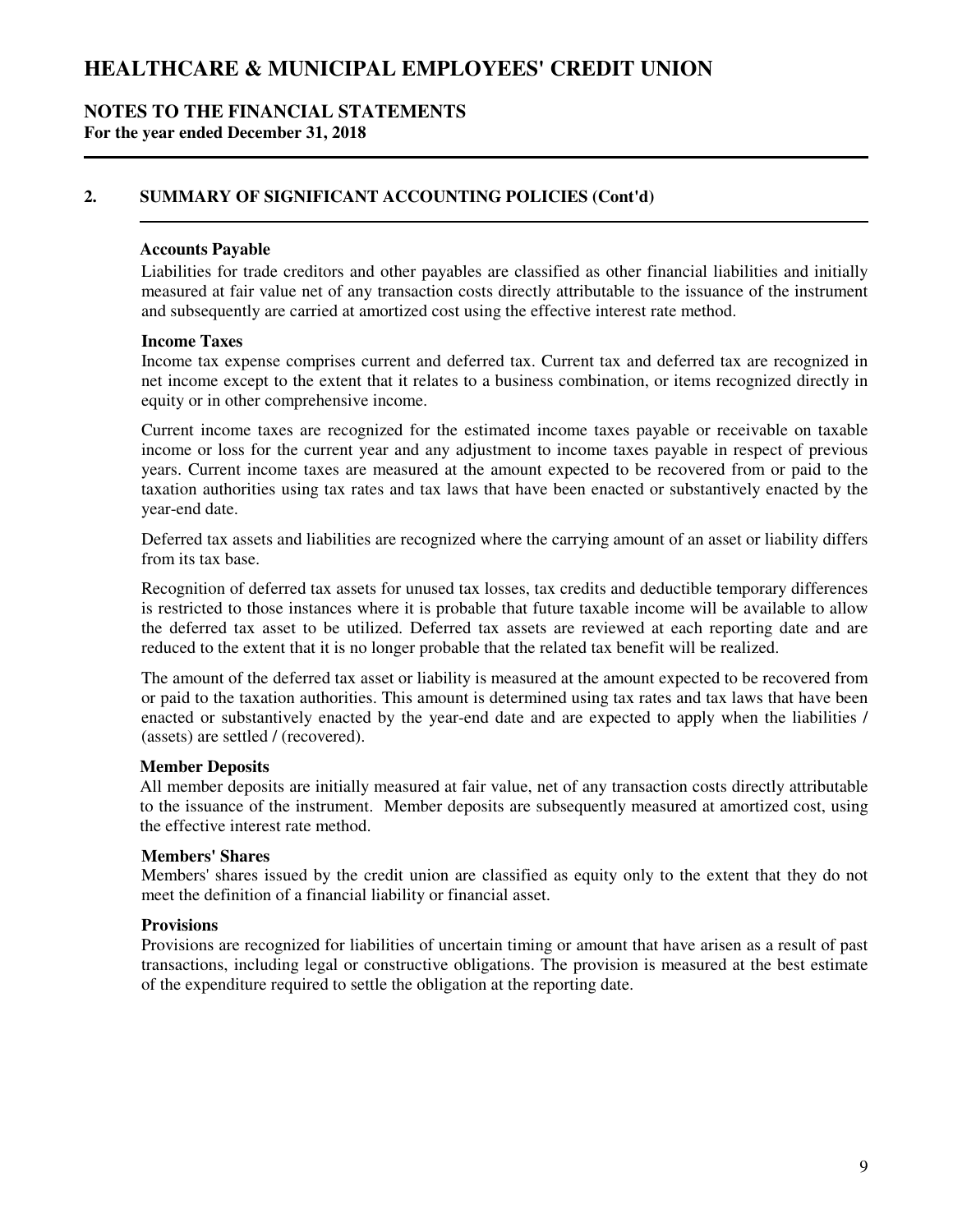### **NOTES TO THE FINANCIAL STATEMENTS For the year ended December 31, 2018**

## **2. SUMMARY OF SIGNIFICANT ACCOUNTING POLICIES (Cont'd)**

#### **Accounts Payable**

Liabilities for trade creditors and other payables are classified as other financial liabilities and initially measured at fair value net of any transaction costs directly attributable to the issuance of the instrument and subsequently are carried at amortized cost using the effective interest rate method.

#### **Income Taxes**

Income tax expense comprises current and deferred tax. Current tax and deferred tax are recognized in net income except to the extent that it relates to a business combination, or items recognized directly in equity or in other comprehensive income.

Current income taxes are recognized for the estimated income taxes payable or receivable on taxable income or loss for the current year and any adjustment to income taxes payable in respect of previous years. Current income taxes are measured at the amount expected to be recovered from or paid to the taxation authorities using tax rates and tax laws that have been enacted or substantively enacted by the year-end date.

Deferred tax assets and liabilities are recognized where the carrying amount of an asset or liability differs from its tax base.

Recognition of deferred tax assets for unused tax losses, tax credits and deductible temporary differences is restricted to those instances where it is probable that future taxable income will be available to allow the deferred tax asset to be utilized. Deferred tax assets are reviewed at each reporting date and are reduced to the extent that it is no longer probable that the related tax benefit will be realized.

The amount of the deferred tax asset or liability is measured at the amount expected to be recovered from or paid to the taxation authorities. This amount is determined using tax rates and tax laws that have been enacted or substantively enacted by the year-end date and are expected to apply when the liabilities / (assets) are settled / (recovered).

#### **Member Deposits**

All member deposits are initially measured at fair value, net of any transaction costs directly attributable to the issuance of the instrument. Member deposits are subsequently measured at amortized cost, using the effective interest rate method.

#### **Members' Shares**

Members' shares issued by the credit union are classified as equity only to the extent that they do not meet the definition of a financial liability or financial asset.

#### **Provisions**

Provisions are recognized for liabilities of uncertain timing or amount that have arisen as a result of past transactions, including legal or constructive obligations. The provision is measured at the best estimate of the expenditure required to settle the obligation at the reporting date.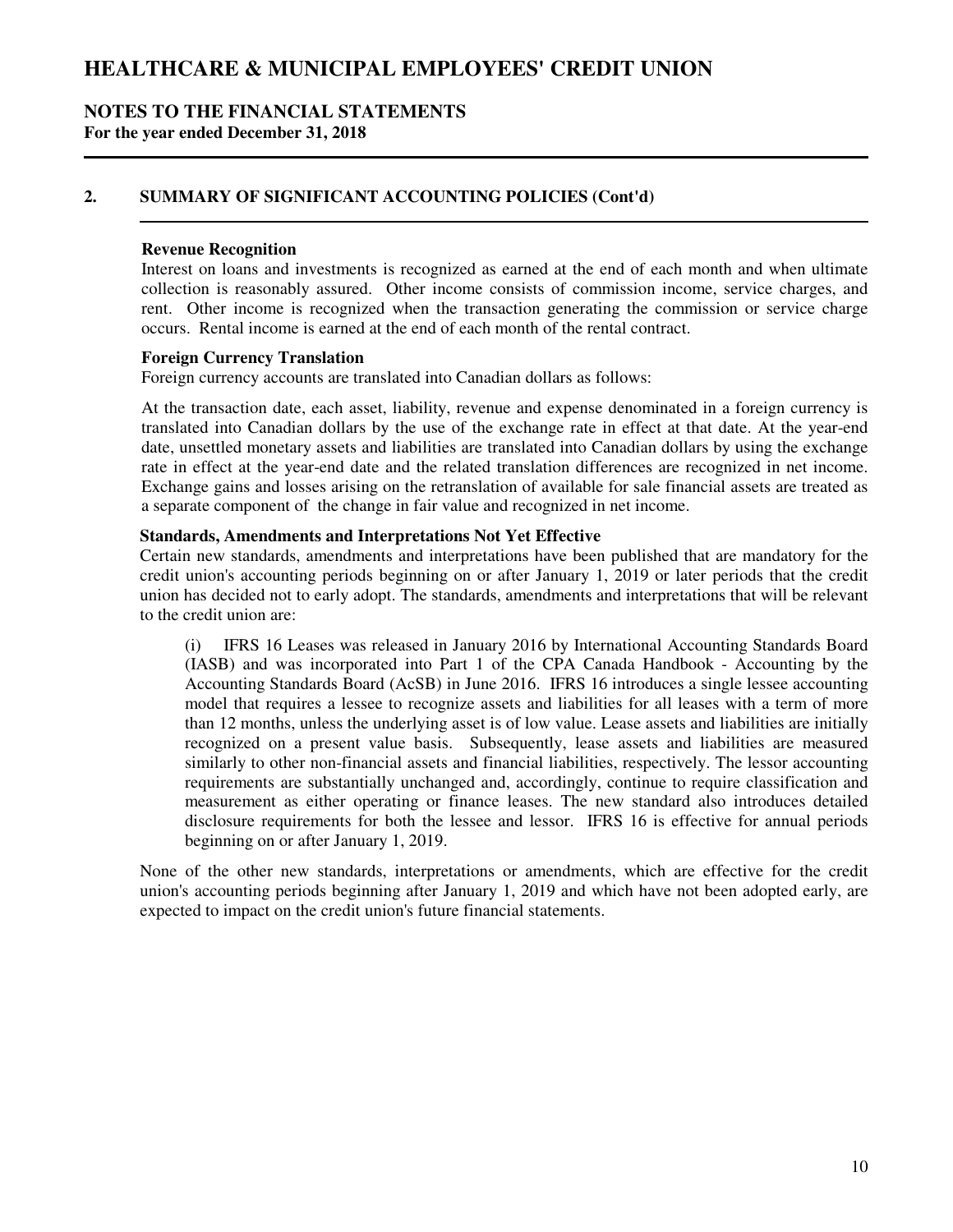### **NOTES TO THE FINANCIAL STATEMENTS For the year ended December 31, 2018**

## **2. SUMMARY OF SIGNIFICANT ACCOUNTING POLICIES (Cont'd)**

#### **Revenue Recognition**

Interest on loans and investments is recognized as earned at the end of each month and when ultimate collection is reasonably assured. Other income consists of commission income, service charges, and rent. Other income is recognized when the transaction generating the commission or service charge occurs. Rental income is earned at the end of each month of the rental contract.

#### **Foreign Currency Translation**

Foreign currency accounts are translated into Canadian dollars as follows:

At the transaction date, each asset, liability, revenue and expense denominated in a foreign currency is translated into Canadian dollars by the use of the exchange rate in effect at that date. At the year-end date, unsettled monetary assets and liabilities are translated into Canadian dollars by using the exchange rate in effect at the year-end date and the related translation differences are recognized in net income. Exchange gains and losses arising on the retranslation of available for sale financial assets are treated as a separate component of the change in fair value and recognized in net income.

#### **Standards, Amendments and Interpretations Not Yet Effective**

Certain new standards, amendments and interpretations have been published that are mandatory for the credit union's accounting periods beginning on or after January 1, 2019 or later periods that the credit union has decided not to early adopt. The standards, amendments and interpretations that will be relevant to the credit union are:

(i) IFRS 16 Leases was released in January 2016 by International Accounting Standards Board (IASB) and was incorporated into Part 1 of the CPA Canada Handbook - Accounting by the Accounting Standards Board (AcSB) in June 2016. IFRS 16 introduces a single lessee accounting model that requires a lessee to recognize assets and liabilities for all leases with a term of more than 12 months, unless the underlying asset is of low value. Lease assets and liabilities are initially recognized on a present value basis. Subsequently, lease assets and liabilities are measured similarly to other non-financial assets and financial liabilities, respectively. The lessor accounting requirements are substantially unchanged and, accordingly, continue to require classification and measurement as either operating or finance leases. The new standard also introduces detailed disclosure requirements for both the lessee and lessor. IFRS 16 is effective for annual periods beginning on or after January 1, 2019.

None of the other new standards, interpretations or amendments, which are effective for the credit union's accounting periods beginning after January 1, 2019 and which have not been adopted early, are expected to impact on the credit union's future financial statements.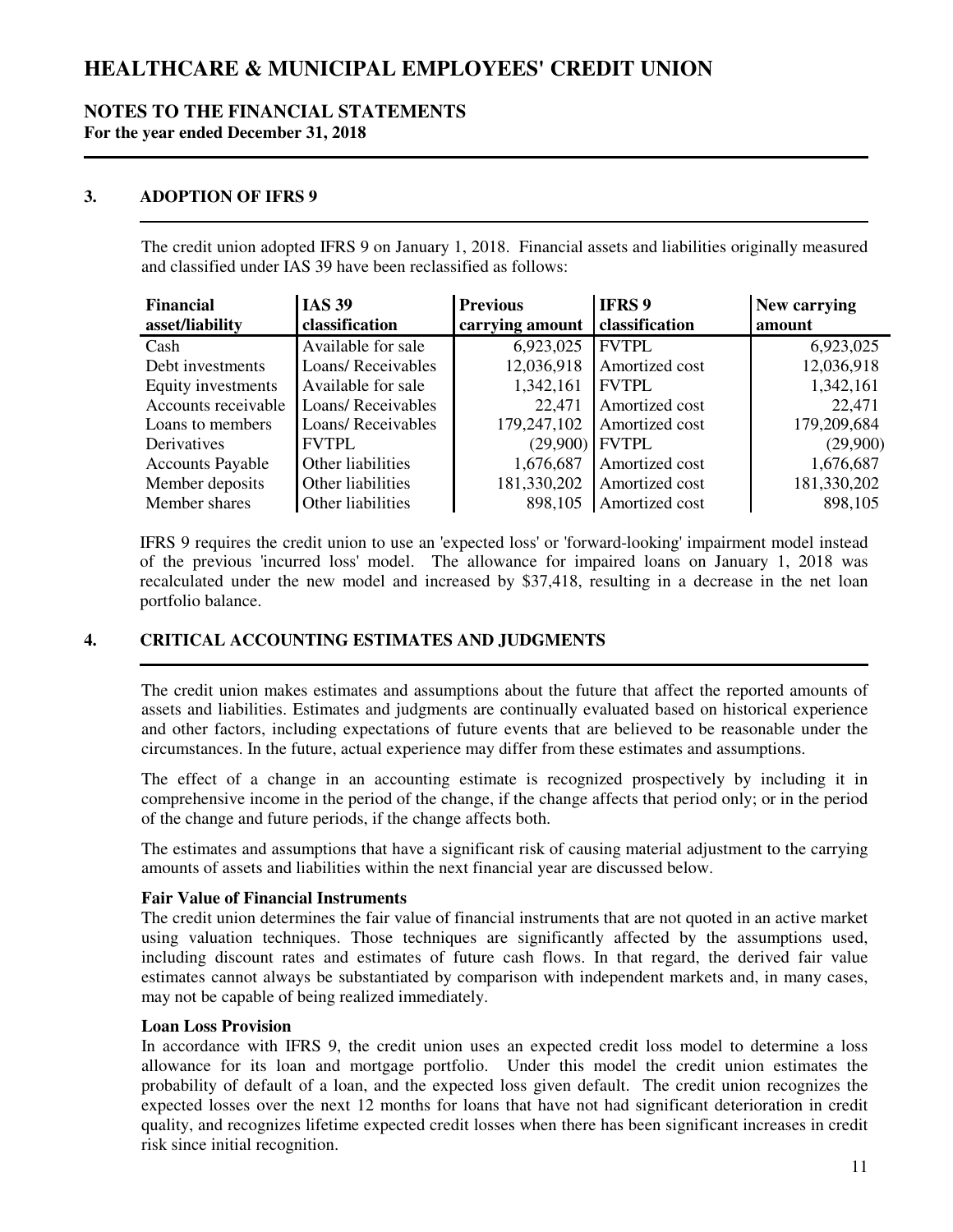### **NOTES TO THE FINANCIAL STATEMENTS For the year ended December 31, 2018**

## **3. ADOPTION OF IFRS 9**

The credit union adopted IFRS 9 on January 1, 2018. Financial assets and liabilities originally measured and classified under IAS 39 have been reclassified as follows:

| <b>Financial</b>        | <b>IAS 39</b>      | <b>Previous</b> | <b>IFRS 9</b>  | New carrying |
|-------------------------|--------------------|-----------------|----------------|--------------|
| asset/liability         | classification     | carrying amount | classification | amount       |
| Cash                    | Available for sale | 6,923,025       | <b>FVTPL</b>   | 6,923,025    |
| Debt investments        | Loans/Receivables  | 12,036,918      | Amortized cost | 12,036,918   |
| Equity investments      | Available for sale | 1,342,161       | <b>FVTPL</b>   | 1,342,161    |
| Accounts receivable     | Loans/Receivables  | 22,471          | Amortized cost | 22,471       |
| Loans to members        | Loans/Receivables  | 179,247,102     | Amortized cost | 179,209,684  |
| Derivatives             | <b>FVTPL</b>       | (29,900)        | <b>FVTPL</b>   | (29,900)     |
| <b>Accounts Payable</b> | Other liabilities  | 1,676,687       | Amortized cost | 1,676,687    |
| Member deposits         | Other liabilities  | 181,330,202     | Amortized cost | 181,330,202  |
| Member shares           | Other liabilities  | 898,105         | Amortized cost | 898,105      |

IFRS 9 requires the credit union to use an 'expected loss' or 'forward-looking' impairment model instead of the previous 'incurred loss' model. The allowance for impaired loans on January 1, 2018 was recalculated under the new model and increased by \$37,418, resulting in a decrease in the net loan portfolio balance.

## **4. CRITICAL ACCOUNTING ESTIMATES AND JUDGMENTS**

The credit union makes estimates and assumptions about the future that affect the reported amounts of assets and liabilities. Estimates and judgments are continually evaluated based on historical experience and other factors, including expectations of future events that are believed to be reasonable under the circumstances. In the future, actual experience may differ from these estimates and assumptions.

The effect of a change in an accounting estimate is recognized prospectively by including it in comprehensive income in the period of the change, if the change affects that period only; or in the period of the change and future periods, if the change affects both.

The estimates and assumptions that have a significant risk of causing material adjustment to the carrying amounts of assets and liabilities within the next financial year are discussed below.

### **Fair Value of Financial Instruments**

The credit union determines the fair value of financial instruments that are not quoted in an active market using valuation techniques. Those techniques are significantly affected by the assumptions used, including discount rates and estimates of future cash flows. In that regard, the derived fair value estimates cannot always be substantiated by comparison with independent markets and, in many cases, may not be capable of being realized immediately.

### **Loan Loss Provision**

In accordance with IFRS 9, the credit union uses an expected credit loss model to determine a loss allowance for its loan and mortgage portfolio. Under this model the credit union estimates the probability of default of a loan, and the expected loss given default. The credit union recognizes the expected losses over the next 12 months for loans that have not had significant deterioration in credit quality, and recognizes lifetime expected credit losses when there has been significant increases in credit risk since initial recognition.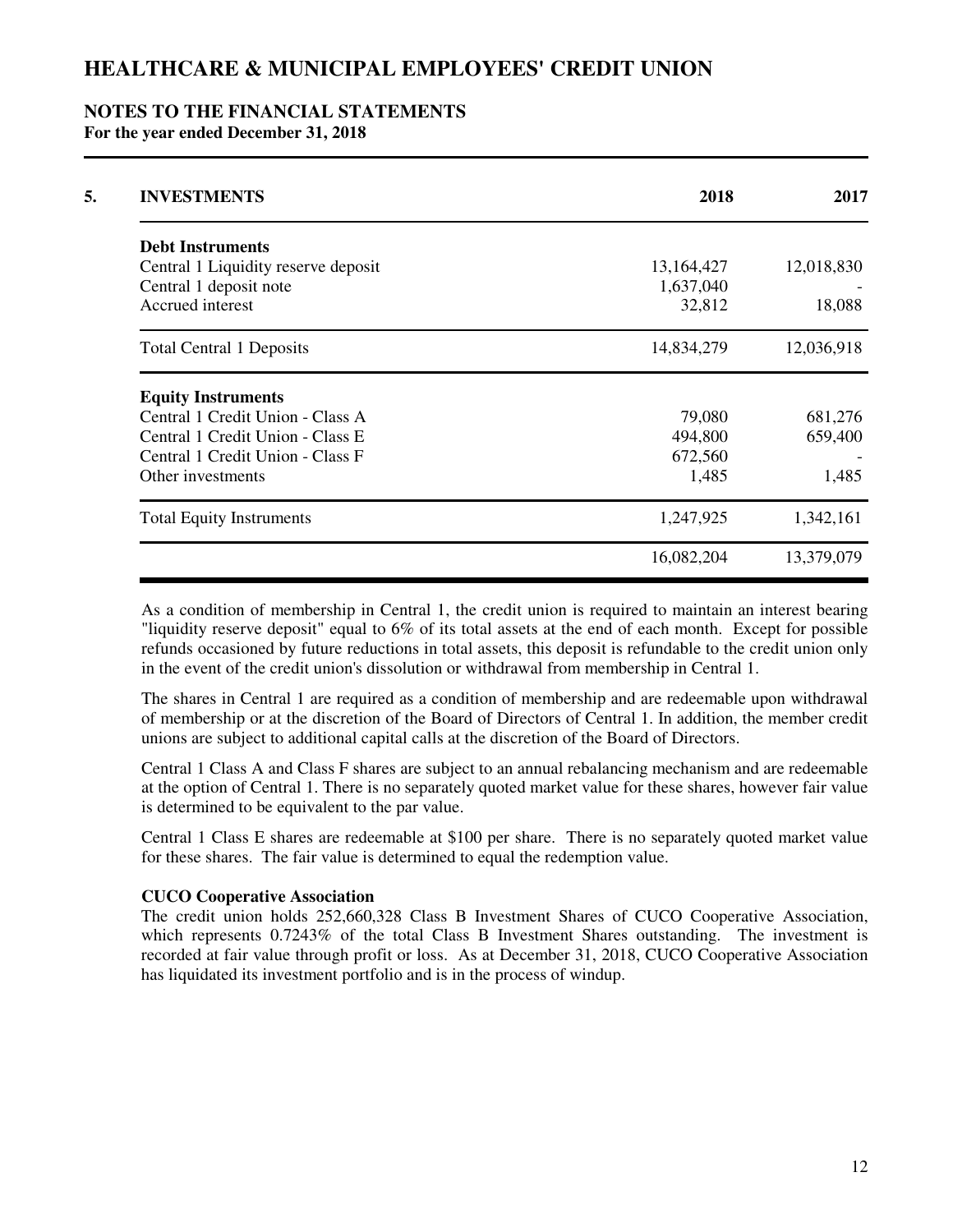### **NOTES TO THE FINANCIAL STATEMENTS For the year ended December 31, 2018**

| 13,164,427 | 12,018,830                                                               |
|------------|--------------------------------------------------------------------------|
|            |                                                                          |
|            |                                                                          |
|            |                                                                          |
| 32,812     | 18,088                                                                   |
|            | 12,036,918                                                               |
|            |                                                                          |
| 79,080     | 681,276                                                                  |
|            | 659,400                                                                  |
|            |                                                                          |
| 1,485      | 1,485                                                                    |
|            | 1,342,161                                                                |
|            | 13,379,079                                                               |
|            | 1,637,040<br>14,834,279<br>494,800<br>672,560<br>1,247,925<br>16,082,204 |

As a condition of membership in Central 1, the credit union is required to maintain an interest bearing "liquidity reserve deposit" equal to 6% of its total assets at the end of each month. Except for possible refunds occasioned by future reductions in total assets, this deposit is refundable to the credit union only in the event of the credit union's dissolution or withdrawal from membership in Central 1.

The shares in Central 1 are required as a condition of membership and are redeemable upon withdrawal of membership or at the discretion of the Board of Directors of Central 1. In addition, the member credit unions are subject to additional capital calls at the discretion of the Board of Directors.

Central 1 Class A and Class F shares are subject to an annual rebalancing mechanism and are redeemable at the option of Central 1. There is no separately quoted market value for these shares, however fair value is determined to be equivalent to the par value.

Central 1 Class E shares are redeemable at \$100 per share. There is no separately quoted market value for these shares. The fair value is determined to equal the redemption value.

#### **CUCO Cooperative Association**

The credit union holds 252,660,328 Class B Investment Shares of CUCO Cooperative Association, which represents 0.7243% of the total Class B Investment Shares outstanding. The investment is recorded at fair value through profit or loss. As at December 31, 2018, CUCO Cooperative Association has liquidated its investment portfolio and is in the process of windup.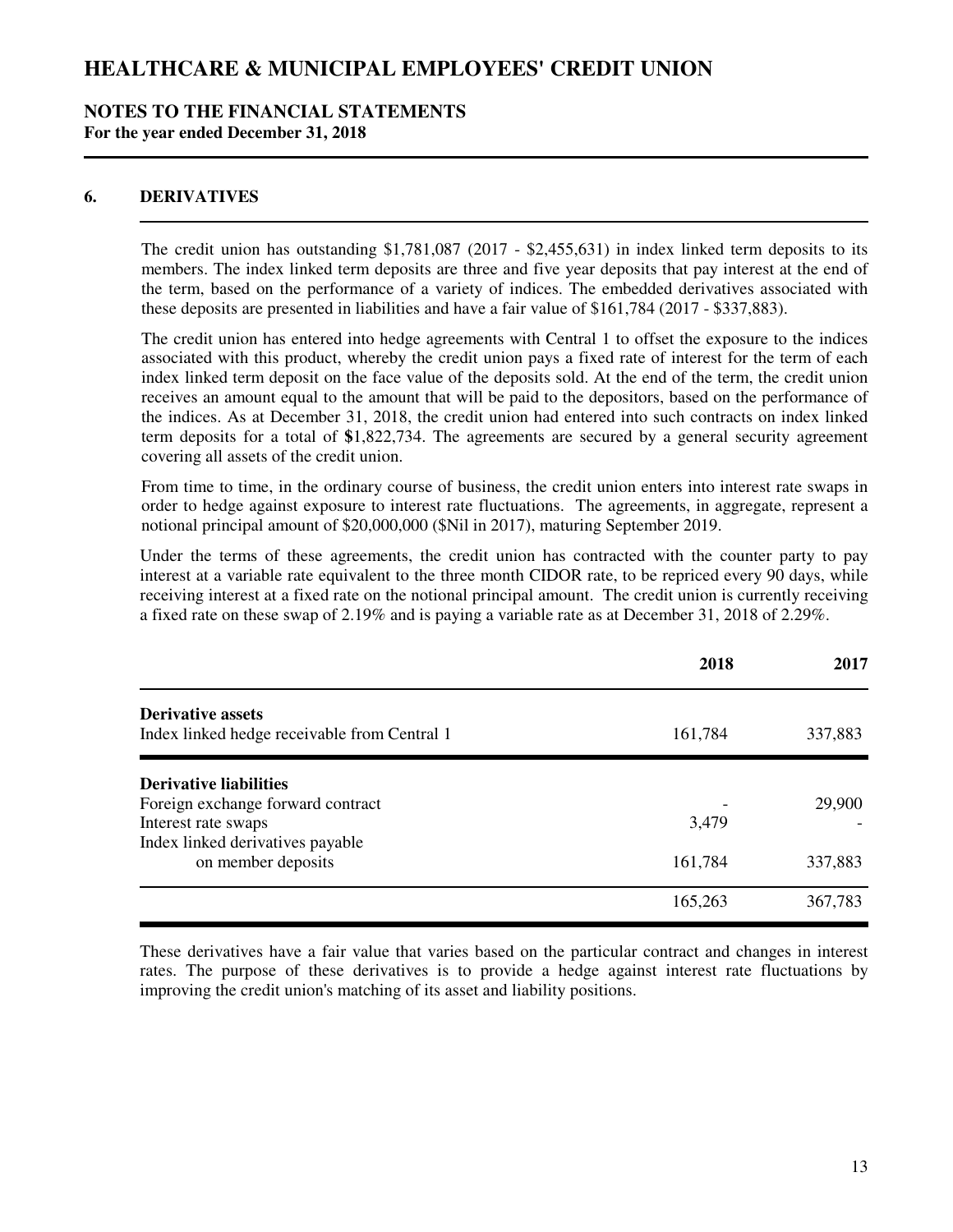### **NOTES TO THE FINANCIAL STATEMENTS For the year ended December 31, 2018**

## **6. DERIVATIVES**

The credit union has outstanding \$1,781,087 (2017 - \$2,455,631) in index linked term deposits to its members. The index linked term deposits are three and five year deposits that pay interest at the end of the term, based on the performance of a variety of indices. The embedded derivatives associated with these deposits are presented in liabilities and have a fair value of \$161,784 (2017 - \$337,883).

The credit union has entered into hedge agreements with Central 1 to offset the exposure to the indices associated with this product, whereby the credit union pays a fixed rate of interest for the term of each index linked term deposit on the face value of the deposits sold. At the end of the term, the credit union receives an amount equal to the amount that will be paid to the depositors, based on the performance of the indices. As at December 31, 2018, the credit union had entered into such contracts on index linked term deposits for a total of **\$**1,822,734. The agreements are secured by a general security agreement covering all assets of the credit union.

From time to time, in the ordinary course of business, the credit union enters into interest rate swaps in order to hedge against exposure to interest rate fluctuations. The agreements, in aggregate, represent a notional principal amount of \$20,000,000 (\$Nil in 2017), maturing September 2019.

Under the terms of these agreements, the credit union has contracted with the counter party to pay interest at a variable rate equivalent to the three month CIDOR rate, to be repriced every 90 days, while receiving interest at a fixed rate on the notional principal amount. The credit union is currently receiving a fixed rate on these swap of 2.19% and is paying a variable rate as at December 31, 2018 of 2.29%.

|                                                                          | 2018    | 2017    |
|--------------------------------------------------------------------------|---------|---------|
| <b>Derivative assets</b><br>Index linked hedge receivable from Central 1 | 161,784 | 337,883 |
| <b>Derivative liabilities</b>                                            |         |         |
| Foreign exchange forward contract                                        |         | 29,900  |
| Interest rate swaps                                                      | 3,479   |         |
| Index linked derivatives payable                                         |         |         |
| on member deposits                                                       | 161,784 | 337,883 |
|                                                                          | 165,263 | 367,783 |

These derivatives have a fair value that varies based on the particular contract and changes in interest rates. The purpose of these derivatives is to provide a hedge against interest rate fluctuations by improving the credit union's matching of its asset and liability positions.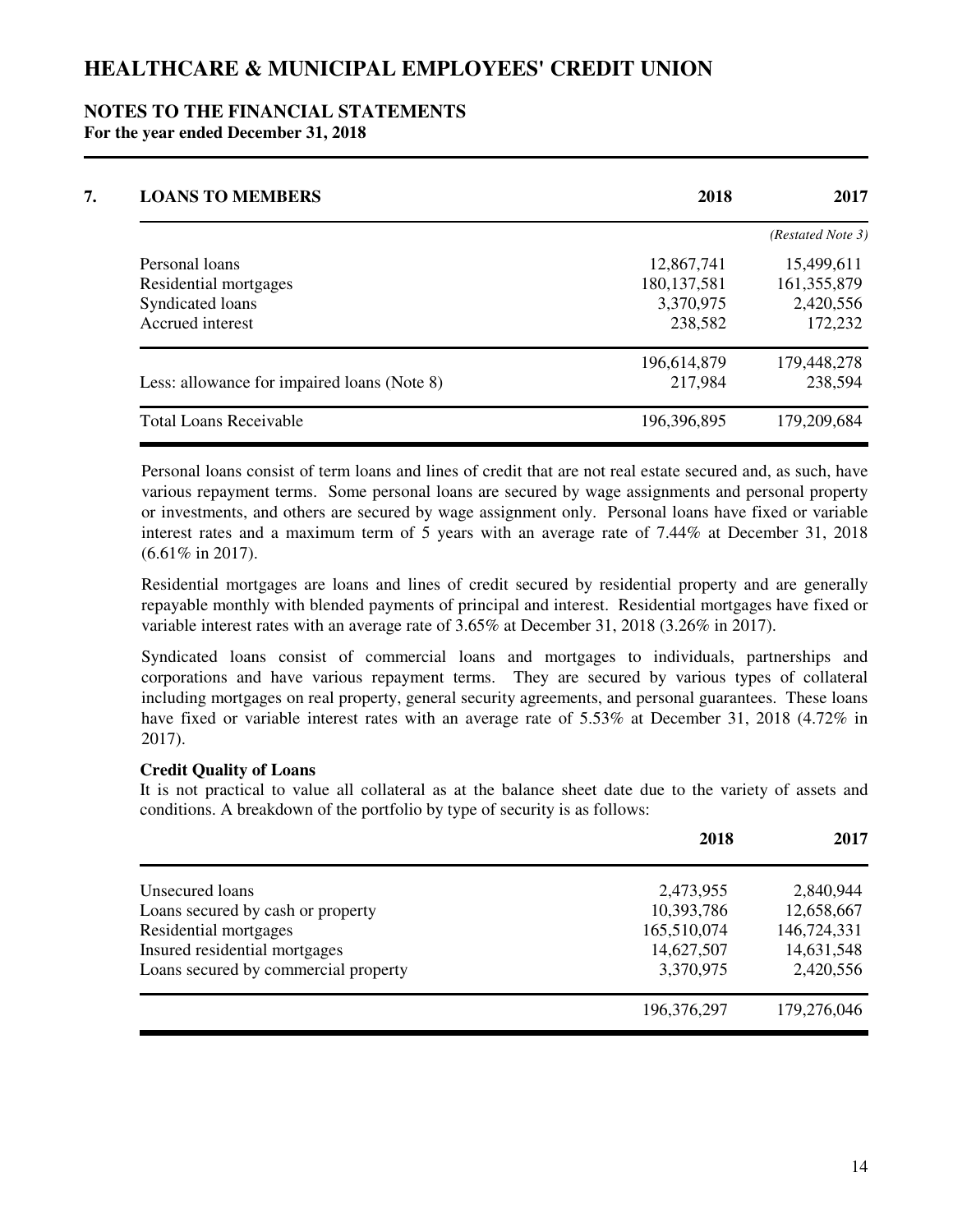#### **NOTES TO THE FINANCIAL STATEMENTS For the year ended December 31, 2018**

| <b>LOANS TO MEMBERS</b>                     | 2018          | 2017              |
|---------------------------------------------|---------------|-------------------|
|                                             |               | (Restated Note 3) |
| Personal loans                              | 12,867,741    | 15,499,611        |
| Residential mortgages                       | 180, 137, 581 | 161, 355, 879     |
| Syndicated loans                            | 3,370,975     | 2,420,556         |
| Accrued interest                            | 238,582       | 172,232           |
|                                             | 196,614,879   | 179,448,278       |
| Less: allowance for impaired loans (Note 8) | 217,984       | 238,594           |
| <b>Total Loans Receivable</b>               | 196,396,895   | 179,209,684       |

Personal loans consist of term loans and lines of credit that are not real estate secured and, as such, have various repayment terms. Some personal loans are secured by wage assignments and personal property or investments, and others are secured by wage assignment only. Personal loans have fixed or variable interest rates and a maximum term of 5 years with an average rate of 7.44% at December 31, 2018 (6.61% in 2017).

Residential mortgages are loans and lines of credit secured by residential property and are generally repayable monthly with blended payments of principal and interest. Residential mortgages have fixed or variable interest rates with an average rate of 3.65% at December 31, 2018 (3.26% in 2017).

Syndicated loans consist of commercial loans and mortgages to individuals, partnerships and corporations and have various repayment terms. They are secured by various types of collateral including mortgages on real property, general security agreements, and personal guarantees. These loans have fixed or variable interest rates with an average rate of 5.53% at December 31, 2018 (4.72% in 2017).

### **Credit Quality of Loans**

It is not practical to value all collateral as at the balance sheet date due to the variety of assets and conditions. A breakdown of the portfolio by type of security is as follows:

|                                      | 2018        | 2017        |
|--------------------------------------|-------------|-------------|
| Unsecured loans                      | 2,473,955   | 2,840,944   |
| Loans secured by cash or property    | 10,393,786  | 12,658,667  |
| Residential mortgages                | 165,510,074 | 146,724,331 |
| Insured residential mortgages        | 14,627,507  | 14,631,548  |
| Loans secured by commercial property | 3,370,975   | 2,420,556   |
|                                      | 196,376,297 | 179,276,046 |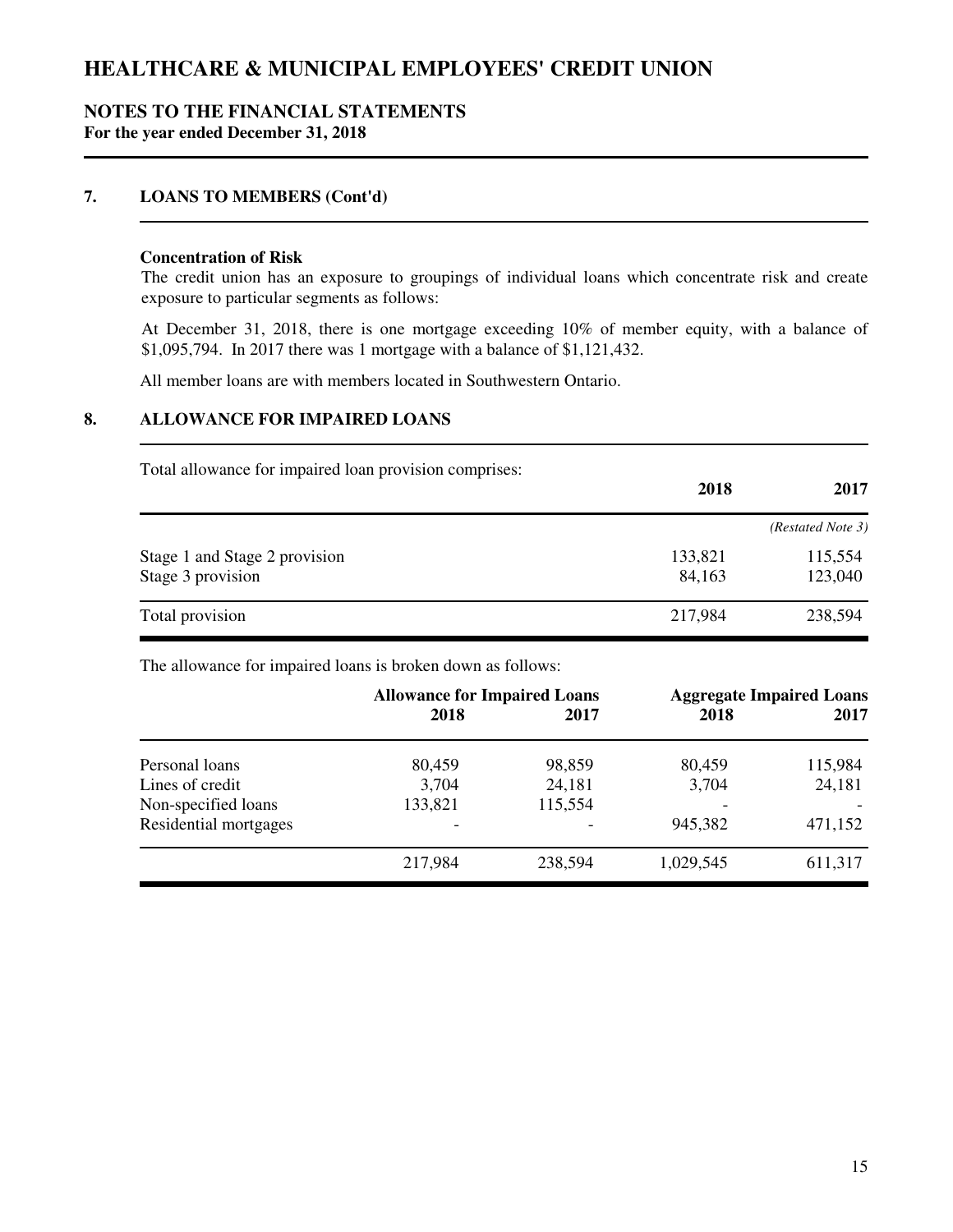### **NOTES TO THE FINANCIAL STATEMENTS For the year ended December 31, 2018**

## **7. LOANS TO MEMBERS (Cont'd)**

#### **Concentration of Risk**

The credit union has an exposure to groupings of individual loans which concentrate risk and create exposure to particular segments as follows:

At December 31, 2018, there is one mortgage exceeding 10% of member equity, with a balance of \$1,095,794. In 2017 there was 1 mortgage with a balance of \$1,121,432.

All member loans are with members located in Southwestern Ontario.

## **8. ALLOWANCE FOR IMPAIRED LOANS**

Total allowance for impaired loan provision comprises:

|                               | 2018    | 2017              |
|-------------------------------|---------|-------------------|
|                               |         | (Restated Note 3) |
| Stage 1 and Stage 2 provision | 133,821 | 115,554           |
| Stage 3 provision             | 84,163  | 123,040           |
| Total provision               | 217,984 | 238,594           |

The allowance for impaired loans is broken down as follows:

|                       | <b>Allowance for Impaired Loans</b> |         |           | <b>Aggregate Impaired Loans</b> |
|-----------------------|-------------------------------------|---------|-----------|---------------------------------|
|                       | 2018                                | 2017    | 2018      | 2017                            |
| Personal loans        | 80,459                              | 98,859  | 80,459    | 115,984                         |
| Lines of credit       | 3,704                               | 24,181  | 3,704     | 24,181                          |
| Non-specified loans   | 133,821                             | 115,554 |           |                                 |
| Residential mortgages | -                                   |         | 945,382   | 471,152                         |
|                       | 217,984                             | 238,594 | 1,029,545 | 611,317                         |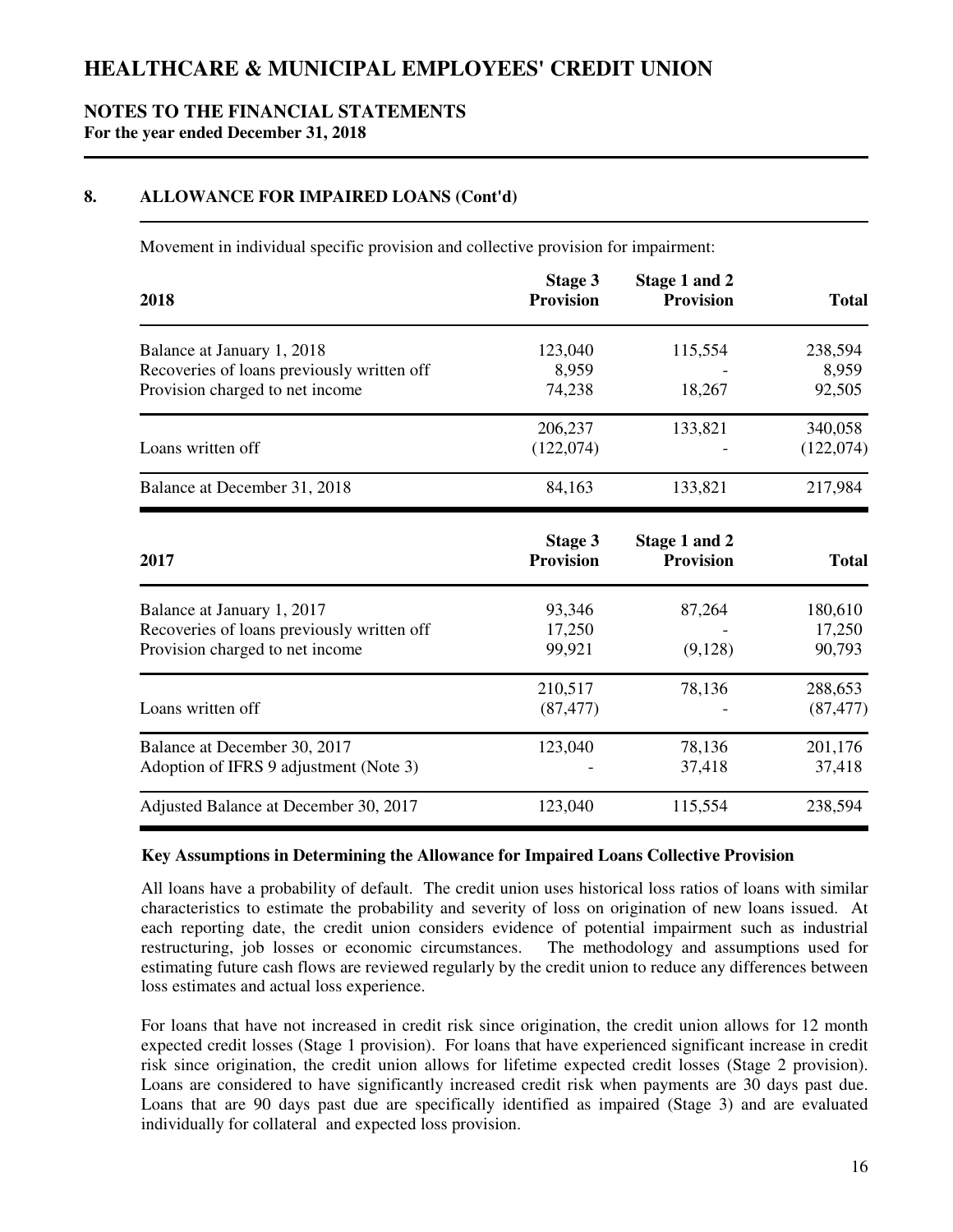## **NOTES TO THE FINANCIAL STATEMENTS For the year ended December 31, 2018**

## **8. ALLOWANCE FOR IMPAIRED LOANS (Cont'd)**

Movement in individual specific provision and collective provision for impairment:

| 2018                                       | Stage 3<br><b>Provision</b>        | Stage 1 and 2<br><b>Provision</b> | <b>Total</b> |
|--------------------------------------------|------------------------------------|-----------------------------------|--------------|
| Balance at January 1, 2018                 | 123,040                            | 115,554                           | 238,594      |
| Recoveries of loans previously written off | 8,959                              |                                   | 8,959        |
| Provision charged to net income            | 74,238                             | 18,267                            | 92,505       |
|                                            | 206,237                            | 133,821                           | 340,058      |
| Loans written off                          | (122,074)                          |                                   | (122,074)    |
| Balance at December 31, 2018               | 84,163                             | 133,821                           | 217,984      |
| 2017                                       | <b>Stage 3</b><br><b>Provision</b> | Stage 1 and 2<br><b>Provision</b> | <b>Total</b> |
| Balance at January 1, 2017                 | 93,346                             | 87,264                            | 180,610      |
| Recoveries of loans previously written off | 17,250                             |                                   | 17,250       |
| Provision charged to net income            | 99,921                             | (9,128)                           | 90,793       |
|                                            | 210,517                            | 78,136                            | 288,653      |
| Loans written off                          | (87, 477)                          |                                   | (87, 477)    |
| Balance at December 30, 2017               | 123,040                            | 78,136                            | 201,176      |
| Adoption of IFRS 9 adjustment (Note 3)     |                                    |                                   |              |

### **Key Assumptions in Determining the Allowance for Impaired Loans Collective Provision**

All loans have a probability of default. The credit union uses historical loss ratios of loans with similar characteristics to estimate the probability and severity of loss on origination of new loans issued. At each reporting date, the credit union considers evidence of potential impairment such as industrial restructuring, job losses or economic circumstances. The methodology and assumptions used for estimating future cash flows are reviewed regularly by the credit union to reduce any differences between loss estimates and actual loss experience.

Adjusted Balance at December 30, 2017 123,040 115,554 238,594

For loans that have not increased in credit risk since origination, the credit union allows for 12 month expected credit losses (Stage 1 provision). For loans that have experienced significant increase in credit risk since origination, the credit union allows for lifetime expected credit losses (Stage 2 provision). Loans are considered to have significantly increased credit risk when payments are 30 days past due. Loans that are 90 days past due are specifically identified as impaired (Stage 3) and are evaluated individually for collateral and expected loss provision.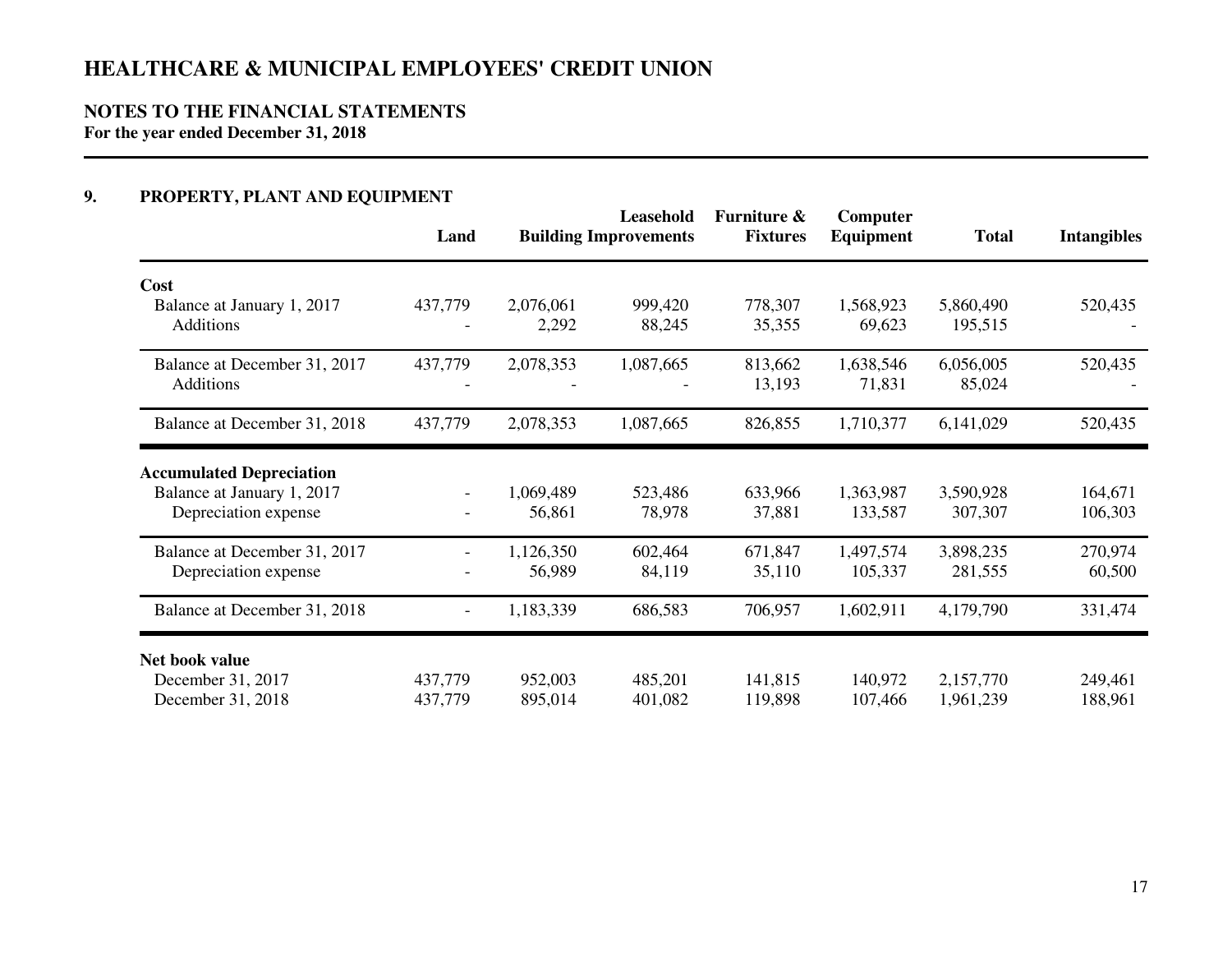# **NOTES TO THE FINANCIAL STATEMENTS**

**For the year ended December 31, 2018**

## **9. PROPERTY, PLANT AND EQUIPMENT**

|                                                      | Land                     |                     | Leasehold<br><b>Building Improvements</b> | Furniture &<br><b>Fixtures</b> | Computer<br><b>Equipment</b> | <b>Total</b>           | <b>Intangibles</b> |
|------------------------------------------------------|--------------------------|---------------------|-------------------------------------------|--------------------------------|------------------------------|------------------------|--------------------|
| Cost                                                 |                          |                     |                                           |                                |                              |                        |                    |
| Balance at January 1, 2017<br><b>Additions</b>       | 437,779                  | 2,076,061<br>2,292  | 999,420<br>88,245                         | 778,307<br>35,355              | 1,568,923<br>69,623          | 5,860,490<br>195,515   | 520,435            |
| Balance at December 31, 2017<br>Additions            | 437,779                  | 2,078,353           | 1,087,665                                 | 813,662<br>13,193              | 1,638,546<br>71,831          | 6,056,005<br>85,024    | 520,435            |
| Balance at December 31, 2018                         | 437,779                  | 2,078,353           | 1,087,665                                 | 826,855                        | 1,710,377                    | 6,141,029              | 520,435            |
| <b>Accumulated Depreciation</b>                      |                          |                     |                                           |                                |                              |                        |                    |
| Balance at January 1, 2017<br>Depreciation expense   | $\overline{\phantom{a}}$ | 1,069,489<br>56,861 | 523,486<br>78,978                         | 633,966<br>37,881              | 1,363,987<br>133,587         | 3,590,928<br>307,307   | 164,671<br>106,303 |
| Balance at December 31, 2017<br>Depreciation expense |                          | 1,126,350<br>56,989 | 602,464<br>84,119                         | 671,847<br>35,110              | 1,497,574<br>105,337         | 3,898,235<br>281,555   | 270,974<br>60,500  |
| Balance at December 31, 2018                         | $\blacksquare$           | 1,183,339           | 686,583                                   | 706,957                        | 1,602,911                    | 4,179,790              | 331,474            |
| Net book value                                       |                          |                     |                                           |                                |                              |                        |                    |
| December 31, 2017<br>December 31, 2018               | 437,779<br>437,779       | 952,003<br>895,014  | 485,201<br>401,082                        | 141,815<br>119,898             | 140,972<br>107,466           | 2,157,770<br>1,961,239 | 249,461<br>188,961 |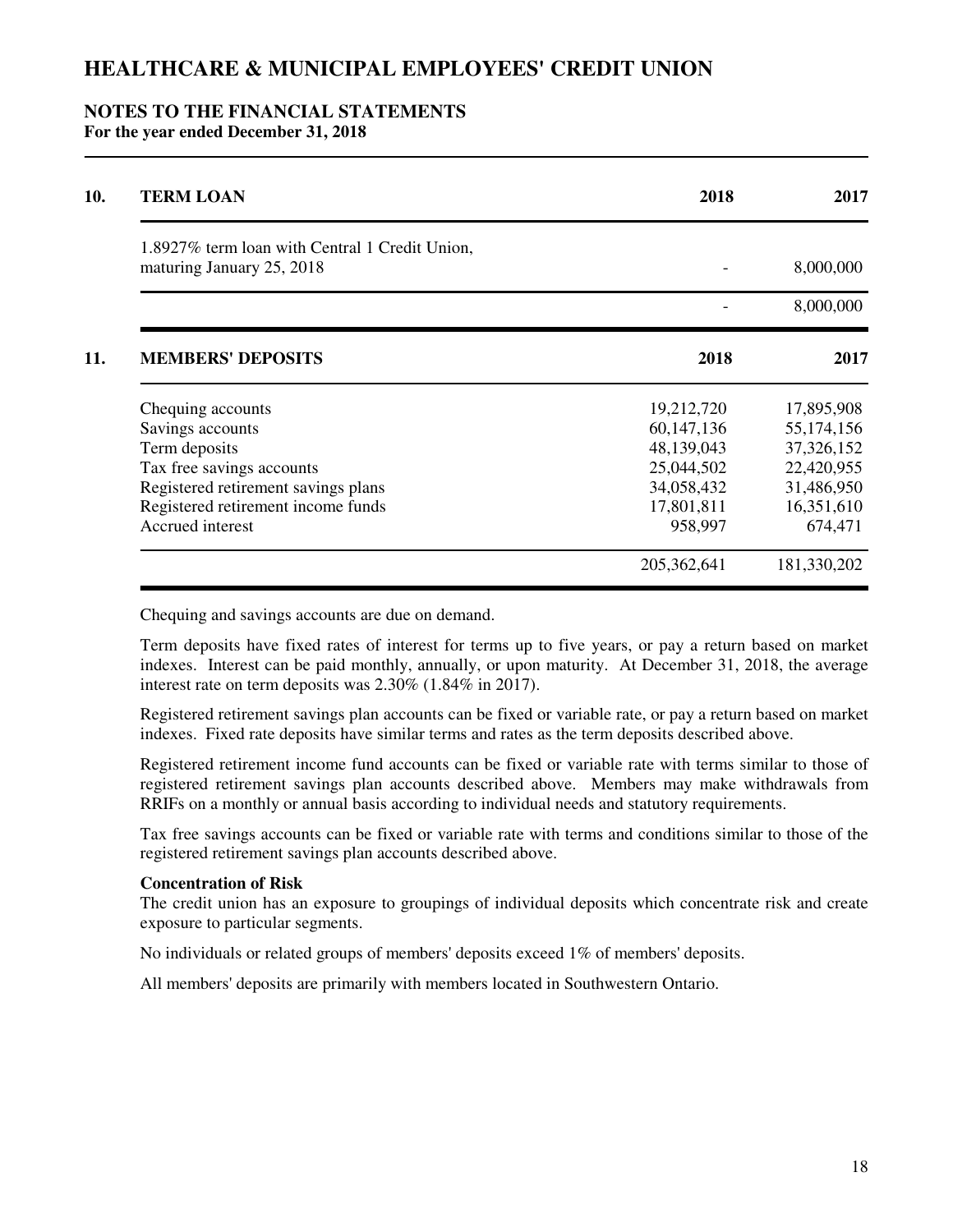### **NOTES TO THE FINANCIAL STATEMENTS For the year ended December 31, 2018**

| <b>TERM LOAN</b>                               | 2018         | 2017         |
|------------------------------------------------|--------------|--------------|
| 1.8927% term loan with Central 1 Credit Union, |              |              |
| maturing January 25, 2018                      |              | 8,000,000    |
|                                                |              | 8,000,000    |
| <b>MEMBERS' DEPOSITS</b>                       | 2018         | 2017         |
| Chequing accounts                              | 19,212,720   | 17,895,908   |
| Savings accounts                               | 60, 147, 136 | 55, 174, 156 |
| Term deposits                                  | 48,139,043   | 37,326,152   |
| Tax free savings accounts                      | 25,044,502   | 22,420,955   |
| Registered retirement savings plans            | 34,058,432   | 31,486,950   |
| Registered retirement income funds             | 17,801,811   | 16,351,610   |
| Accrued interest                               | 958,997      | 674,471      |
|                                                | 205,362,641  | 181,330,202  |

Chequing and savings accounts are due on demand.

Term deposits have fixed rates of interest for terms up to five years, or pay a return based on market indexes. Interest can be paid monthly, annually, or upon maturity. At December 31, 2018, the average interest rate on term deposits was 2.30% (1.84% in 2017).

Registered retirement savings plan accounts can be fixed or variable rate, or pay a return based on market indexes. Fixed rate deposits have similar terms and rates as the term deposits described above.

Registered retirement income fund accounts can be fixed or variable rate with terms similar to those of registered retirement savings plan accounts described above. Members may make withdrawals from RRIFs on a monthly or annual basis according to individual needs and statutory requirements.

Tax free savings accounts can be fixed or variable rate with terms and conditions similar to those of the registered retirement savings plan accounts described above.

#### **Concentration of Risk**

The credit union has an exposure to groupings of individual deposits which concentrate risk and create exposure to particular segments.

No individuals or related groups of members' deposits exceed 1% of members' deposits.

All members' deposits are primarily with members located in Southwestern Ontario.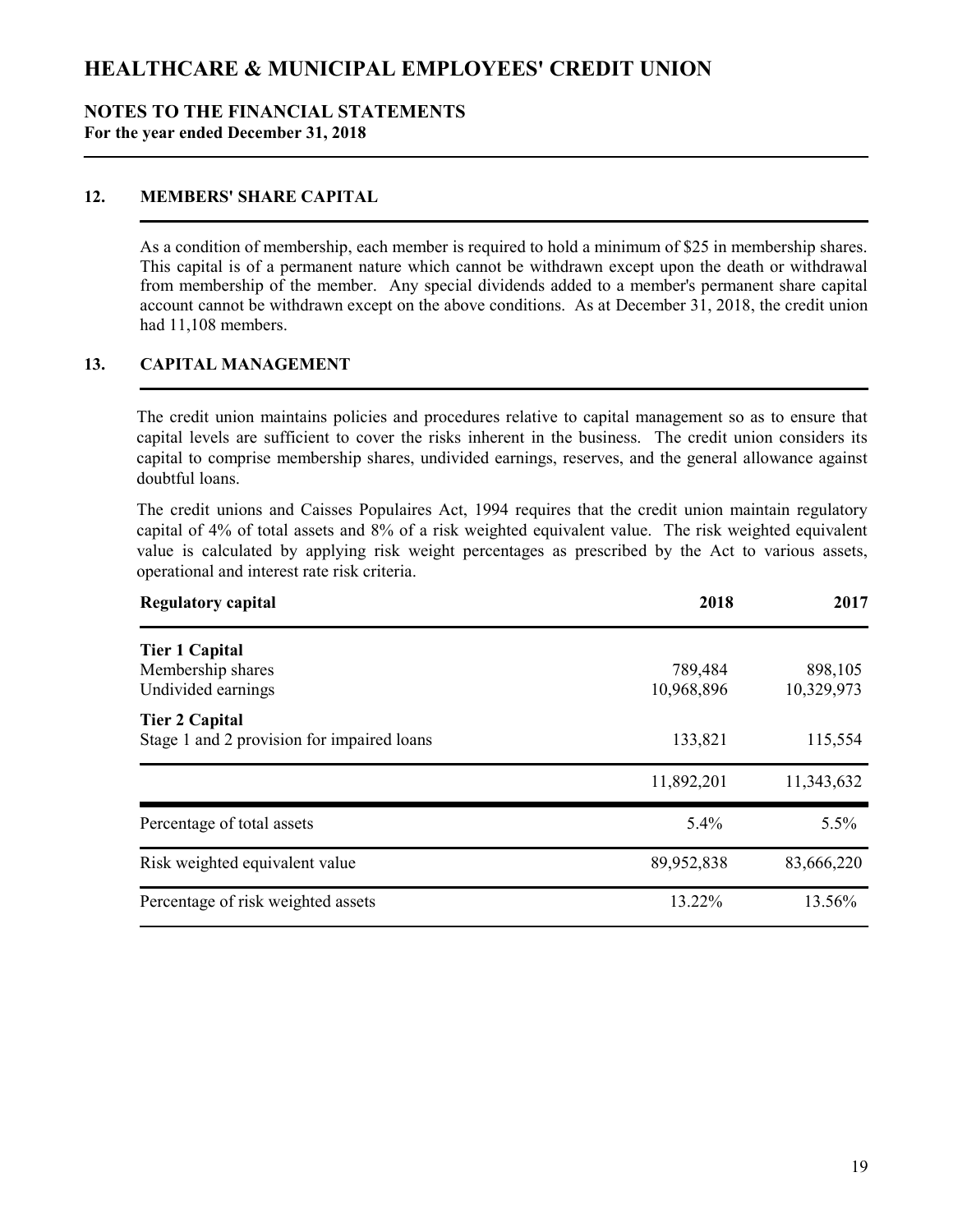### NOTES TO THE FINANCIAL STATEMENTS For the year ended December 31, 2018

## 12. MEMBERS' SHARE CAPITAL

As a condition of membership, each member is required to hold a minimum of \$25 in membership shares. This capital is of a permanent nature which cannot be withdrawn except upon the death or withdrawal from membership of the member. Any special dividends added to a member's permanent share capital account cannot be withdrawn except on the above conditions. As at December 31, 2018, the credit union had 11,108 members.

### 13. CAPITAL MANAGEMENT

The credit union maintains policies and procedures relative to capital management so as to ensure that capital levels are sufficient to cover the risks inherent in the business. The credit union considers its capital to comprise membership shares, undivided earnings, reserves, and the general allowance against doubtful loans.

The credit unions and Caisses Populaires Act, 1994 requires that the credit union maintain regulatory capital of 4% of total assets and 8% of a risk weighted equivalent value. The risk weighted equivalent value is calculated by applying risk weight percentages as prescribed by the Act to various assets, operational and interest rate risk criteria.

| <b>Regulatory capital</b>                                           | 2018       | 2017       |
|---------------------------------------------------------------------|------------|------------|
| <b>Tier 1 Capital</b>                                               |            |            |
| Membership shares                                                   | 789,484    | 898,105    |
| Undivided earnings                                                  | 10,968,896 | 10,329,973 |
| <b>Tier 2 Capital</b><br>Stage 1 and 2 provision for impaired loans | 133,821    | 115,554    |
|                                                                     | 11,892,201 | 11,343,632 |
| Percentage of total assets                                          | 5.4%       | 5.5%       |
| Risk weighted equivalent value                                      | 89,952,838 | 83,666,220 |
| Percentage of risk weighted assets                                  | 13.22%     | 13.56%     |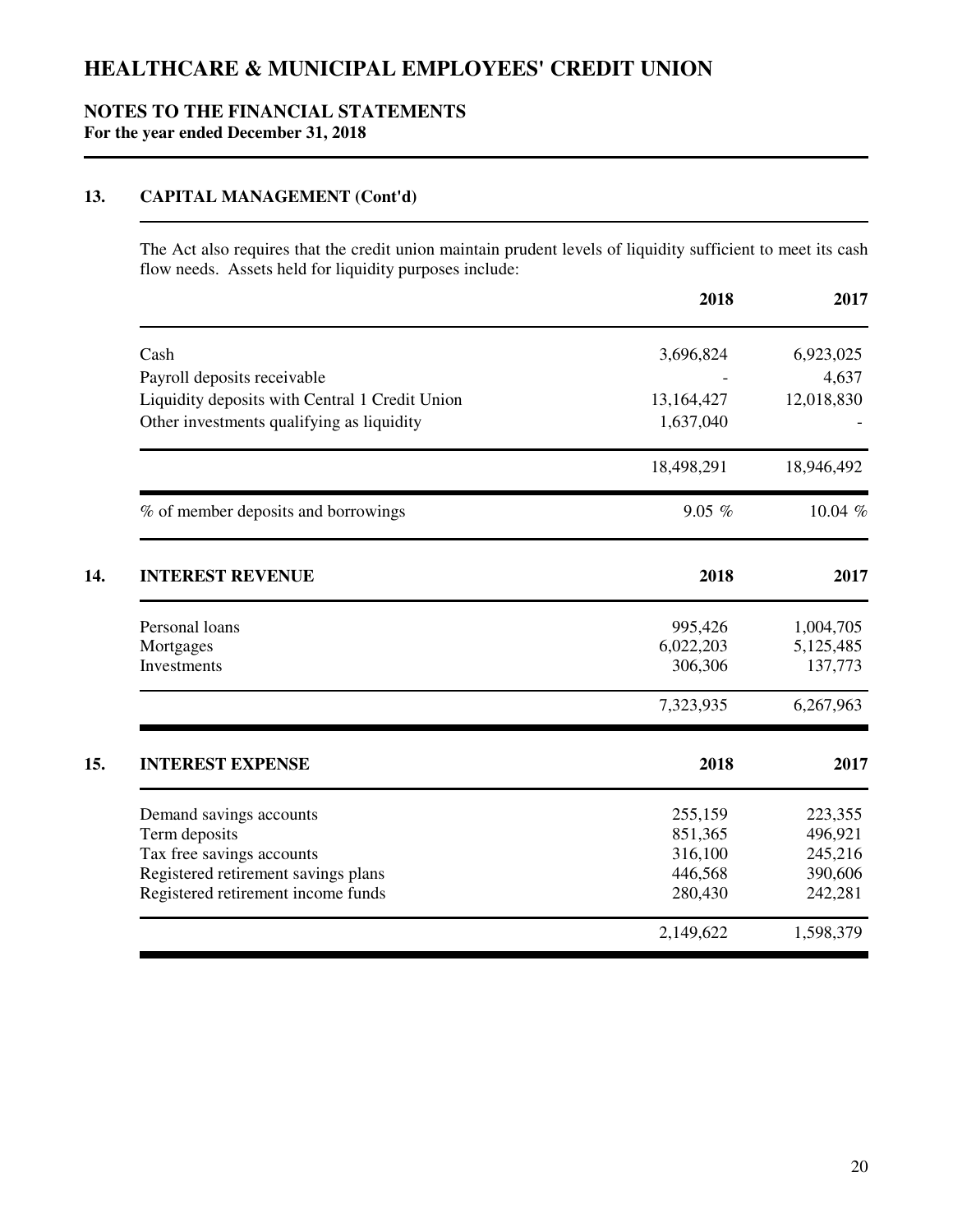## **NOTES TO THE FINANCIAL STATEMENTS For the year ended December 31, 2018**

## **13. CAPITAL MANAGEMENT (Cont'd)**

The Act also requires that the credit union maintain prudent levels of liquidity sufficient to meet its cash flow needs. Assets held for liquidity purposes include:

|                                                | 2018       | 2017       |
|------------------------------------------------|------------|------------|
| Cash                                           | 3,696,824  | 6,923,025  |
| Payroll deposits receivable                    |            | 4,637      |
| Liquidity deposits with Central 1 Credit Union | 13,164,427 | 12,018,830 |
| Other investments qualifying as liquidity      | 1,637,040  |            |
|                                                | 18,498,291 | 18,946,492 |
| % of member deposits and borrowings            | 9.05%      | 10.04 %    |
| <b>INTEREST REVENUE</b>                        | 2018       | 2017       |
| Personal loans                                 | 995,426    | 1,004,705  |
| Mortgages                                      | 6,022,203  | 5,125,485  |
| Investments                                    | 306,306    | 137,773    |
|                                                | 7,323,935  | 6,267,963  |
| <b>INTEREST EXPENSE</b>                        | 2018       | 2017       |
| Demand savings accounts                        | 255,159    | 223,355    |
| Term deposits                                  | 851,365    | 496,921    |
| Tax free savings accounts                      | 316,100    | 245,216    |
| Registered retirement savings plans            | 446,568    | 390,606    |
| Registered retirement income funds             | 280,430    | 242,281    |
|                                                | 2,149,622  | 1,598,379  |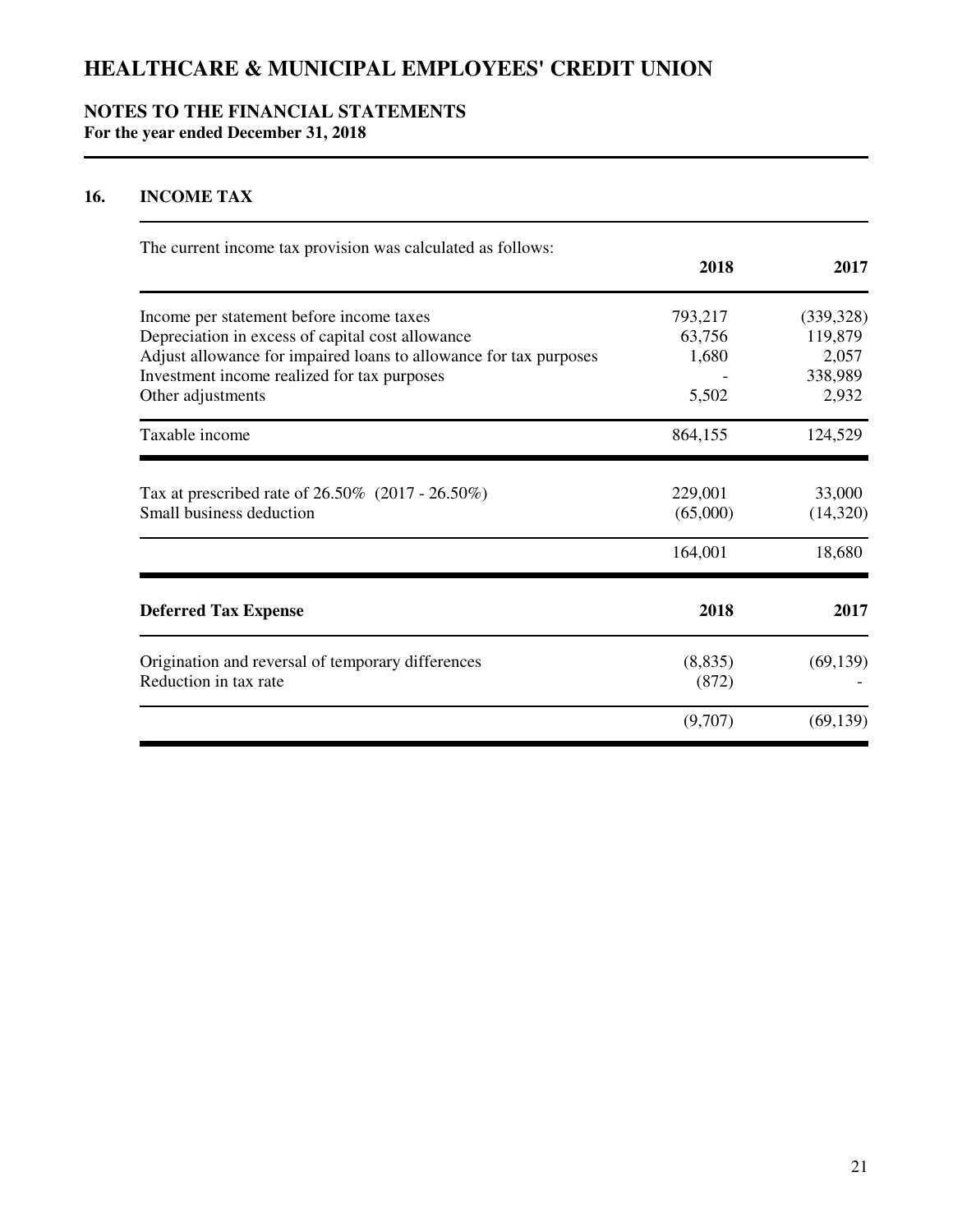## **NOTES TO THE FINANCIAL STATEMENTS For the year ended December 31, 2018**

## **16. INCOME TAX**

| The current income tax provision was calculated as follows:                     | 2018                | 2017               |
|---------------------------------------------------------------------------------|---------------------|--------------------|
|                                                                                 |                     |                    |
| Income per statement before income taxes                                        | 793,217             | (339, 328)         |
| Depreciation in excess of capital cost allowance                                | 63,756              | 119,879            |
| Adjust allowance for impaired loans to allowance for tax purposes               | 1,680               | 2,057              |
| Investment income realized for tax purposes                                     |                     | 338,989            |
| Other adjustments                                                               | 5,502               | 2,932              |
| Taxable income                                                                  | 864,155             | 124,529            |
| Tax at prescribed rate of $26.50\%$ (2017 - 26.50%)<br>Small business deduction | 229,001<br>(65,000) | 33,000<br>(14,320) |
|                                                                                 |                     |                    |
|                                                                                 | 164,001             | 18,680             |
| <b>Deferred Tax Expense</b>                                                     | 2018                | 2017               |
| Origination and reversal of temporary differences                               | (8,835)             | (69, 139)          |
| Reduction in tax rate                                                           | (872)               |                    |
|                                                                                 | (9,707)             | (69, 139)          |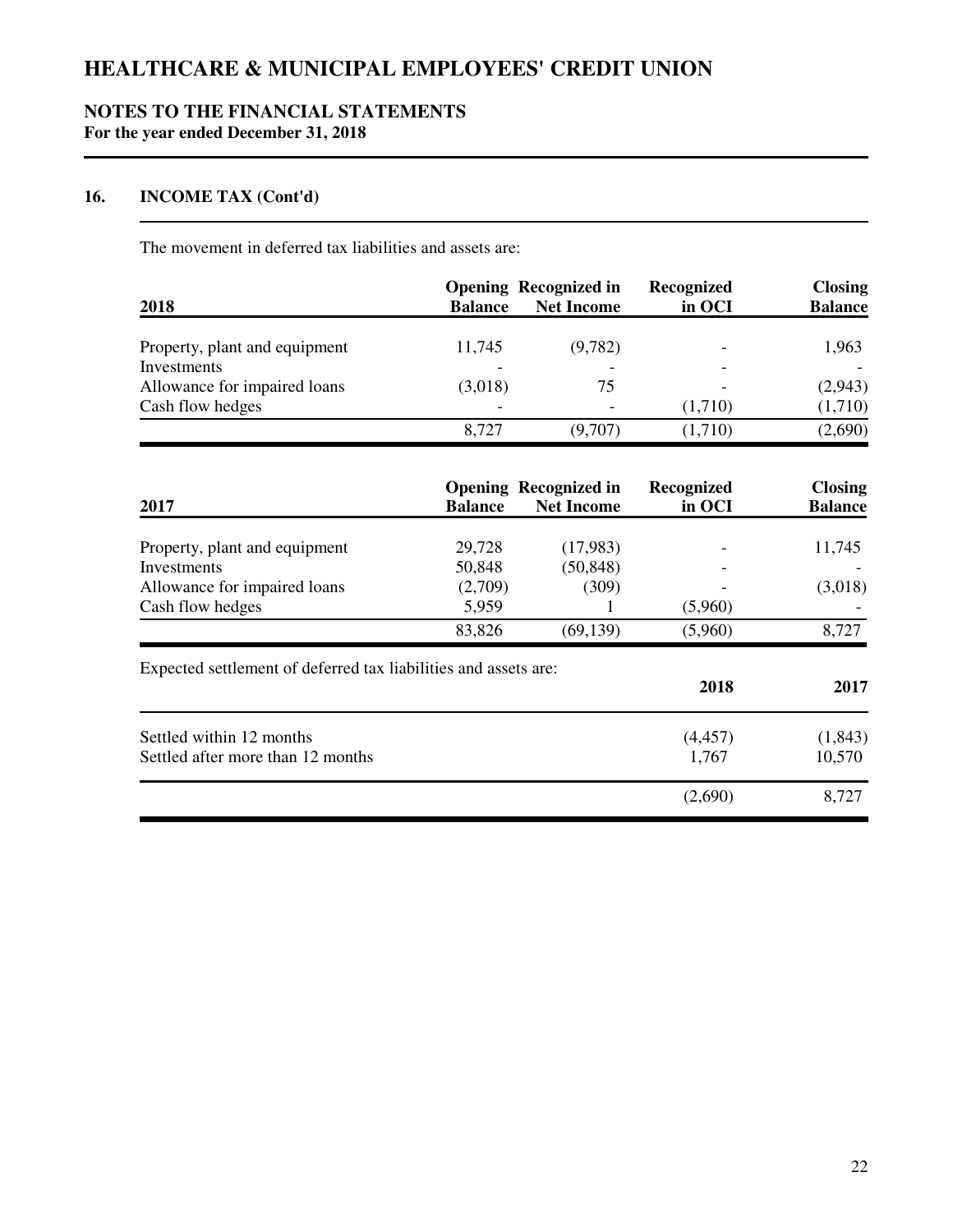## **NOTES TO THE FINANCIAL STATEMENTS For the year ended December 31, 2018**

## **16. INCOME TAX (Cont'd)**

The movement in deferred tax liabilities and assets are:

|                               | <b>Opening Recognized in</b> |                          | Recognized | <b>Closing</b> |
|-------------------------------|------------------------------|--------------------------|------------|----------------|
| 2018                          | <b>Balance</b>               | <b>Net Income</b>        | in OCI     | <b>Balance</b> |
| Property, plant and equipment | 11,745                       | (9,782)                  |            | 1,963          |
| Investments                   |                              | $\overline{\phantom{0}}$ |            |                |
| Allowance for impaired loans  | (3,018)                      | 75                       |            | (2,943)        |
| Cash flow hedges              | $\overline{\phantom{0}}$     | $\overline{\phantom{0}}$ | (1,710)    | (1,710)        |
|                               | 8,727                        | (9,707)                  | (1,710)    | (2,690)        |

| 2017                                                            | <b>Balance</b> | <b>Opening Recognized in</b><br><b>Net Income</b> | Recognized<br>in OCI | <b>Closing</b><br><b>Balance</b> |
|-----------------------------------------------------------------|----------------|---------------------------------------------------|----------------------|----------------------------------|
|                                                                 |                |                                                   |                      |                                  |
| Property, plant and equipment                                   | 29,728         | (17,983)                                          |                      | 11,745                           |
| Investments                                                     | 50,848         | (50, 848)                                         |                      |                                  |
| Allowance for impaired loans                                    | (2,709)        | (309)                                             |                      | (3,018)                          |
| Cash flow hedges                                                | 5,959          |                                                   | (5,960)              |                                  |
|                                                                 | 83,826         | (69, 139)                                         | (5,960)              | 8,727                            |
| Expected settlement of deferred tax liabilities and assets are: |                |                                                   |                      |                                  |
|                                                                 |                |                                                   | 2018                 |                                  |
| Settled within 12 months                                        |                |                                                   | (4, 457)             | 2017<br>(1, 843)                 |
| Settled after more than 12 months                               |                |                                                   | 1,767                | 10,570                           |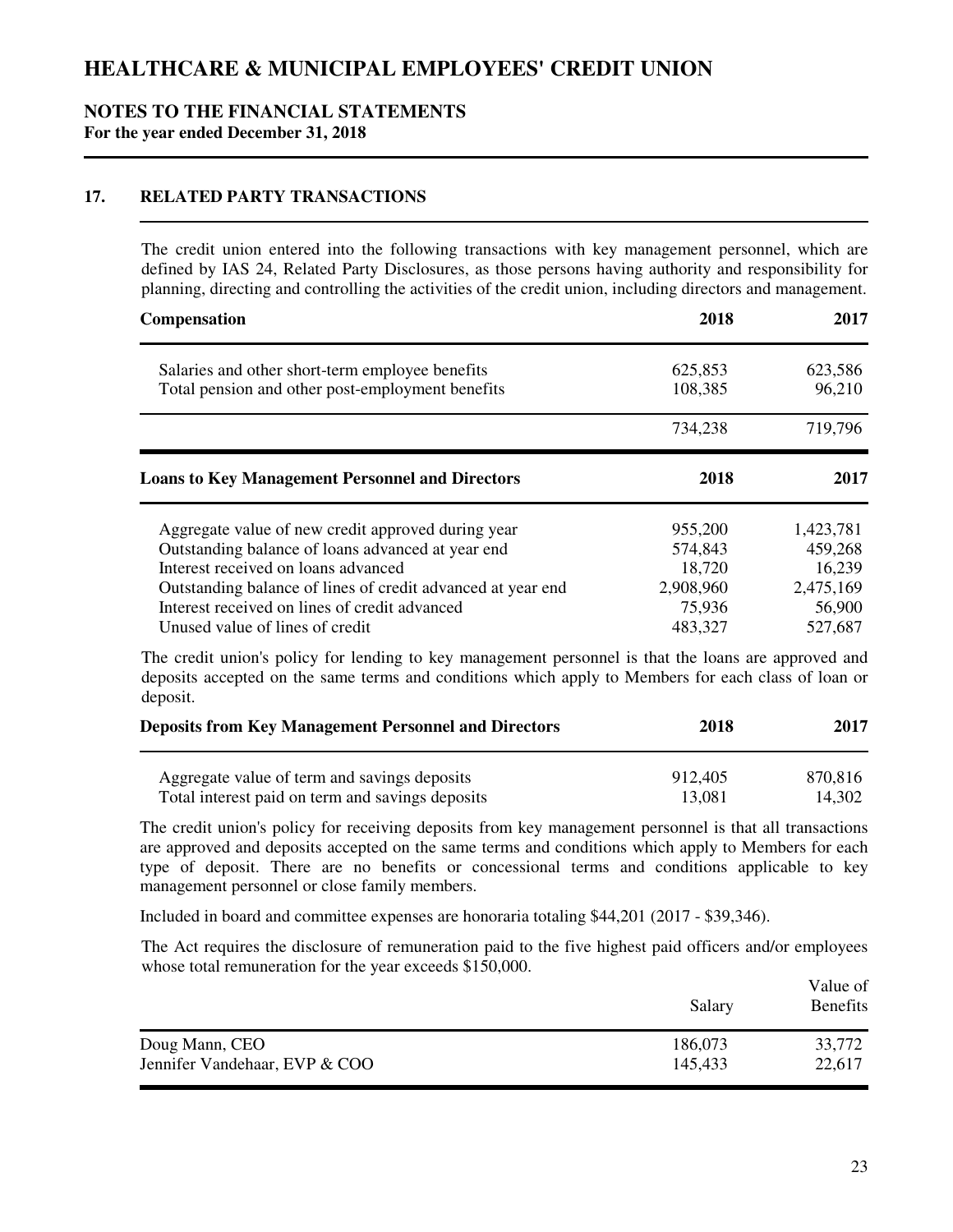### **NOTES TO THE FINANCIAL STATEMENTS For the year ended December 31, 2018**

## **17. RELATED PARTY TRANSACTIONS**

The credit union entered into the following transactions with key management personnel, which are defined by IAS 24, Related Party Disclosures, as those persons having authority and responsibility for planning, directing and controlling the activities of the credit union, including directors and management.

| <b>Compensation</b>                                                                                 | 2018               | 2017                           |  |
|-----------------------------------------------------------------------------------------------------|--------------------|--------------------------------|--|
| Salaries and other short-term employee benefits<br>Total pension and other post-employment benefits | 625,853<br>108,385 | 623,586<br>96,210              |  |
|                                                                                                     | 734,238            | 719,796                        |  |
| <b>Loans to Key Management Personnel and Directors</b>                                              | 2018               | 2017                           |  |
| Aggregate value of new credit approved during year                                                  | 955,200            | 1,423,781                      |  |
| Outstanding balance of loans advanced at year end<br>Interest received on loans advanced            | 574,843<br>18,720  | 459,268<br>16,239              |  |
| Outstanding balance of lines of credit advanced at year end                                         | 2,908,960          |                                |  |
| Interest received on lines of credit advanced<br>Unused value of lines of credit                    | 75,936<br>483,327  | 2,475,169<br>56,900<br>527,687 |  |

The credit union's policy for lending to key management personnel is that the loans are approved and deposits accepted on the same terms and conditions which apply to Members for each class of loan or deposit.

| <b>Deposits from Key Management Personnel and Directors</b> | 2018    | 2017    |  |
|-------------------------------------------------------------|---------|---------|--|
| Aggregate value of term and savings deposits                | 912,405 | 870.816 |  |
| Total interest paid on term and savings deposits            | 13.081  | 14,302  |  |

The credit union's policy for receiving deposits from key management personnel is that all transactions are approved and deposits accepted on the same terms and conditions which apply to Members for each type of deposit. There are no benefits or concessional terms and conditions applicable to key management personnel or close family members.

Included in board and committee expenses are honoraria totaling \$44,201 (2017 - \$39,346).

The Act requires the disclosure of remuneration paid to the five highest paid officers and/or employees whose total remuneration for the year exceeds \$150,000.

|                               | Salary  | Value of<br><b>Benefits</b> |
|-------------------------------|---------|-----------------------------|
| Doug Mann, CEO                | 186,073 | 33,772                      |
| Jennifer Vandehaar, EVP & COO | 145,433 | 22,617                      |
|                               |         |                             |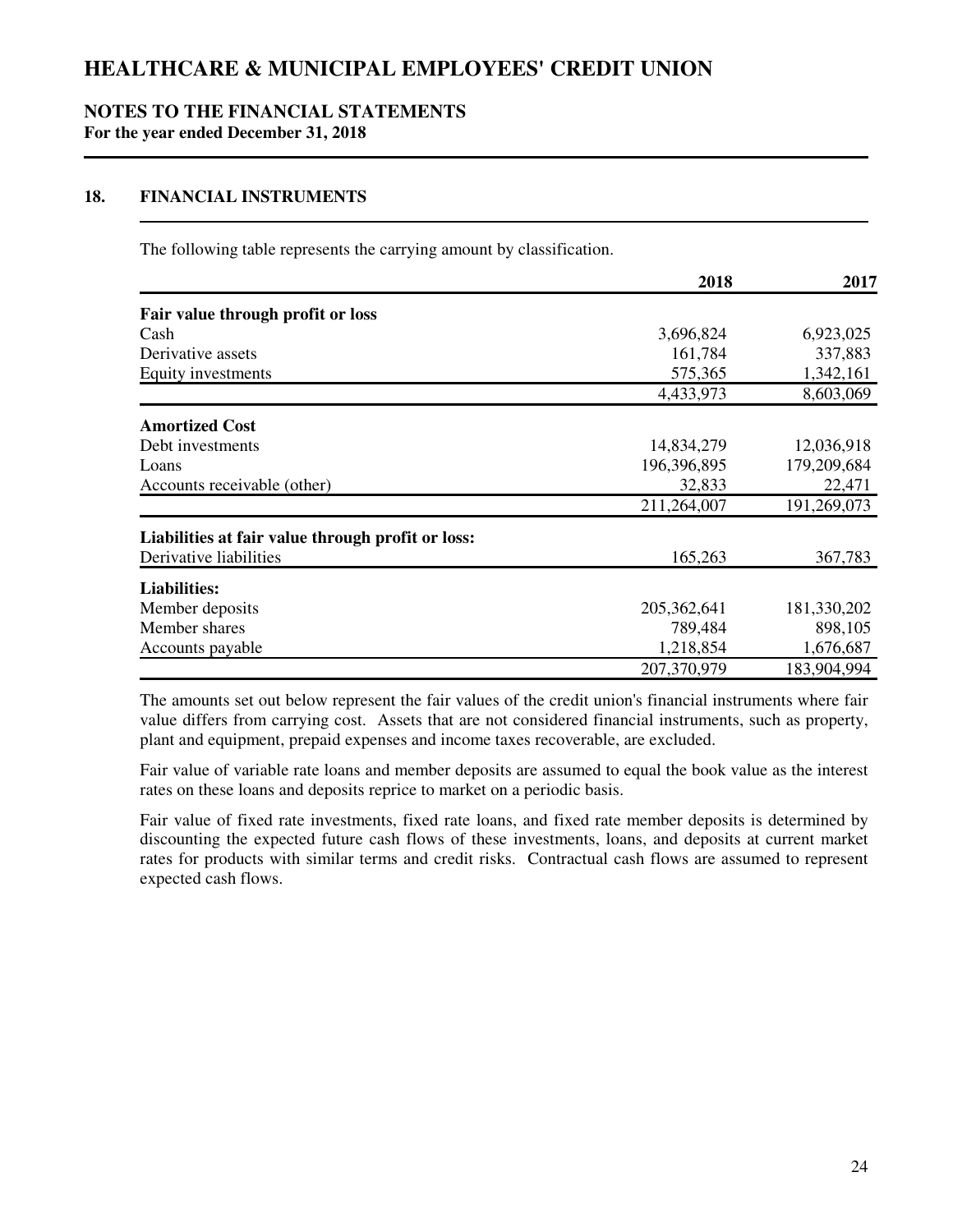#### **NOTES TO THE FINANCIAL STATEMENTS For the year ended December 31, 2018**

### **18. FINANCIAL INSTRUMENTS**

The following table represents the carrying amount by classification.

|                                                   | 2018          | 2017        |
|---------------------------------------------------|---------------|-------------|
| Fair value through profit or loss                 |               |             |
| Cash                                              | 3,696,824     | 6,923,025   |
| Derivative assets                                 | 161,784       | 337,883     |
| Equity investments                                | 575,365       | 1,342,161   |
|                                                   | 4,433,973     | 8,603,069   |
| <b>Amortized Cost</b>                             |               |             |
| Debt investments                                  | 14,834,279    | 12,036,918  |
| Loans                                             | 196,396,895   | 179,209,684 |
| Accounts receivable (other)                       | 32,833        | 22,471      |
|                                                   | 211,264,007   | 191,269,073 |
| Liabilities at fair value through profit or loss: |               |             |
| Derivative liabilities                            | 165,263       | 367,783     |
| <b>Liabilities:</b>                               |               |             |
| Member deposits                                   | 205, 362, 641 | 181,330,202 |
| Member shares                                     | 789,484       | 898,105     |
| Accounts payable                                  | 1,218,854     | 1,676,687   |
|                                                   | 207,370,979   | 183,904,994 |

The amounts set out below represent the fair values of the credit union's financial instruments where fair value differs from carrying cost. Assets that are not considered financial instruments, such as property, plant and equipment, prepaid expenses and income taxes recoverable, are excluded.

Fair value of variable rate loans and member deposits are assumed to equal the book value as the interest rates on these loans and deposits reprice to market on a periodic basis.

Fair value of fixed rate investments, fixed rate loans, and fixed rate member deposits is determined by discounting the expected future cash flows of these investments, loans, and deposits at current market rates for products with similar terms and credit risks. Contractual cash flows are assumed to represent expected cash flows.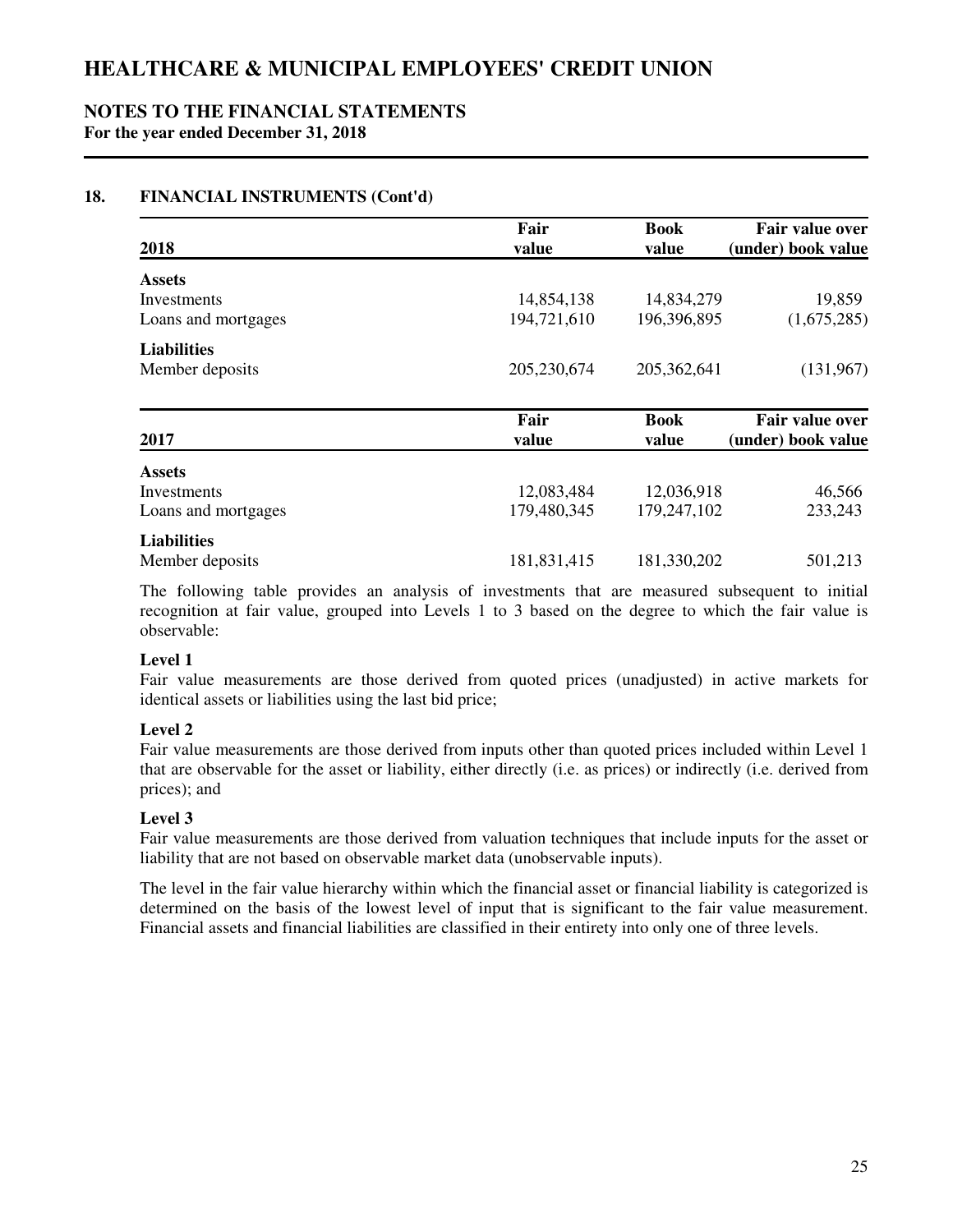### **NOTES TO THE FINANCIAL STATEMENTS For the year ended December 31, 2018**

## **18. FINANCIAL INSTRUMENTS (Cont'd)**

|                         | Fair          | <b>Book</b>          | Fair value over                              |  |
|-------------------------|---------------|----------------------|----------------------------------------------|--|
| 2018                    | value         | value                | (under) book value                           |  |
| <b>Assets</b>           |               |                      |                                              |  |
| Investments             | 14,854,138    | 14,834,279           | 19,859                                       |  |
| Loans and mortgages     | 194,721,610   | 196,396,895          | (1,675,285)                                  |  |
| <b>Liabilities</b>      |               |                      |                                              |  |
| Member deposits<br>2017 | 205,230,674   | 205, 362, 641        | (131,967)                                    |  |
|                         | Fair<br>value | <b>Book</b><br>value | <b>Fair value over</b><br>(under) book value |  |
| <b>Assets</b>           |               |                      |                                              |  |
| Investments             | 12,083,484    | 12,036,918           | 46,566                                       |  |
| Loans and mortgages     | 179,480,345   | 179,247,102          | 233,243                                      |  |
| <b>Liabilities</b>      |               |                      |                                              |  |
| Member deposits         | 181,831,415   | 181,330,202          | 501,213                                      |  |

The following table provides an analysis of investments that are measured subsequent to initial recognition at fair value, grouped into Levels 1 to 3 based on the degree to which the fair value is observable:

### **Level 1**

Fair value measurements are those derived from quoted prices (unadjusted) in active markets for identical assets or liabilities using the last bid price;

## **Level 2**

Fair value measurements are those derived from inputs other than quoted prices included within Level 1 that are observable for the asset or liability, either directly (i.e. as prices) or indirectly (i.e. derived from prices); and

## **Level 3**

Fair value measurements are those derived from valuation techniques that include inputs for the asset or liability that are not based on observable market data (unobservable inputs).

The level in the fair value hierarchy within which the financial asset or financial liability is categorized is determined on the basis of the lowest level of input that is significant to the fair value measurement. Financial assets and financial liabilities are classified in their entirety into only one of three levels.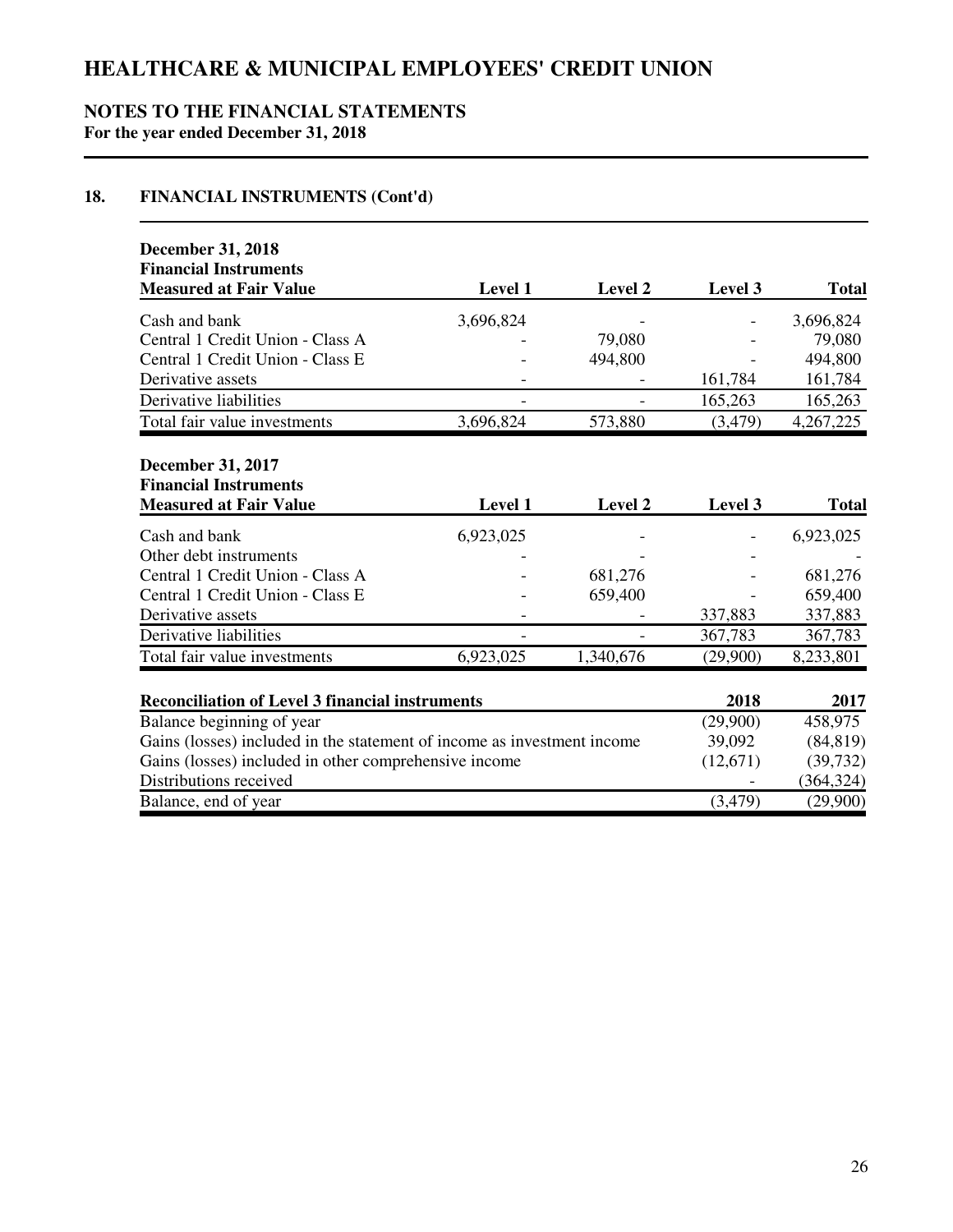## **NOTES TO THE FINANCIAL STATEMENTS For the year ended December 31, 2018**

## **18. FINANCIAL INSTRUMENTS (Cont'd)**

| <b>December 31, 2018</b><br><b>Financial Instruments</b>                                  |           |           |          |              |
|-------------------------------------------------------------------------------------------|-----------|-----------|----------|--------------|
| <b>Measured at Fair Value</b>                                                             | Level 1   | Level 2   | Level 3  | <b>Total</b> |
| Cash and bank                                                                             | 3,696,824 |           |          | 3,696,824    |
| Central 1 Credit Union - Class A                                                          |           | 79,080    |          | 79,080       |
| Central 1 Credit Union - Class E                                                          |           | 494,800   |          | 494,800      |
| Derivative assets                                                                         |           |           | 161,784  | 161,784      |
| Derivative liabilities                                                                    |           |           | 165,263  | 165,263      |
| Total fair value investments                                                              | 3,696,824 | 573,880   | (3,479)  | 4,267,225    |
| <b>December 31, 2017</b><br><b>Financial Instruments</b><br><b>Measured at Fair Value</b> | Level 1   | Level 2   | Level 3  | <b>Total</b> |
| Cash and bank                                                                             | 6,923,025 |           |          | 6,923,025    |
| Other debt instruments                                                                    |           |           |          |              |
| Central 1 Credit Union - Class A                                                          |           | 681,276   |          | 681,276      |
| Central 1 Credit Union - Class E                                                          |           | 659,400   |          | 659,400      |
| Derivative assets                                                                         |           |           | 337,883  | 337,883      |
| Derivative liabilities                                                                    |           |           | 367,783  | 367,783      |
| Total fair value investments                                                              | 6,923,025 | 1,340,676 | (29,900) | 8,233,801    |
| <b>Reconciliation of Level 3 financial instruments</b>                                    |           |           | 2018     | 2017         |
| Balance beginning of year                                                                 | (29,900)  | 458,975   |          |              |
| Gains (losses) included in the statement of income as investment income                   | 39,092    | (84, 819) |          |              |
| Gains (losses) included in other comprehensive income                                     | (12,671)  | (39, 732) |          |              |
| Distributions received                                                                    |           |           |          | (364, 324)   |
| Balance, end of year                                                                      |           |           | (3,479)  | (29,900)     |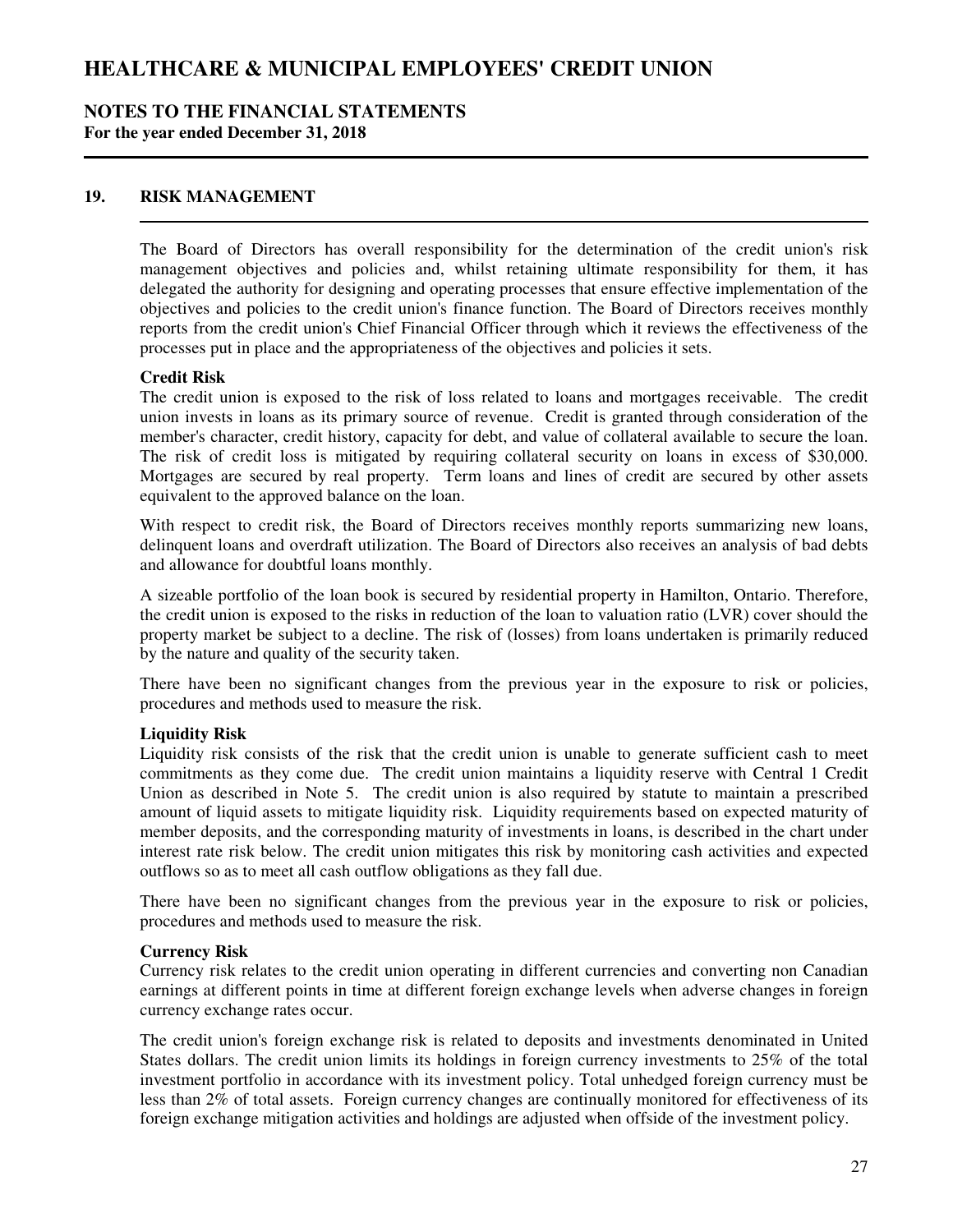### **NOTES TO THE FINANCIAL STATEMENTS For the year ended December 31, 2018**

### **19. RISK MANAGEMENT**

The Board of Directors has overall responsibility for the determination of the credit union's risk management objectives and policies and, whilst retaining ultimate responsibility for them, it has delegated the authority for designing and operating processes that ensure effective implementation of the objectives and policies to the credit union's finance function. The Board of Directors receives monthly reports from the credit union's Chief Financial Officer through which it reviews the effectiveness of the processes put in place and the appropriateness of the objectives and policies it sets.

#### **Credit Risk**

The credit union is exposed to the risk of loss related to loans and mortgages receivable. The credit union invests in loans as its primary source of revenue. Credit is granted through consideration of the member's character, credit history, capacity for debt, and value of collateral available to secure the loan. The risk of credit loss is mitigated by requiring collateral security on loans in excess of \$30,000. Mortgages are secured by real property. Term loans and lines of credit are secured by other assets equivalent to the approved balance on the loan.

With respect to credit risk, the Board of Directors receives monthly reports summarizing new loans, delinquent loans and overdraft utilization. The Board of Directors also receives an analysis of bad debts and allowance for doubtful loans monthly.

A sizeable portfolio of the loan book is secured by residential property in Hamilton, Ontario. Therefore, the credit union is exposed to the risks in reduction of the loan to valuation ratio (LVR) cover should the property market be subject to a decline. The risk of (losses) from loans undertaken is primarily reduced by the nature and quality of the security taken.

There have been no significant changes from the previous year in the exposure to risk or policies, procedures and methods used to measure the risk.

### **Liquidity Risk**

Liquidity risk consists of the risk that the credit union is unable to generate sufficient cash to meet commitments as they come due. The credit union maintains a liquidity reserve with Central 1 Credit Union as described in Note 5. The credit union is also required by statute to maintain a prescribed amount of liquid assets to mitigate liquidity risk. Liquidity requirements based on expected maturity of member deposits, and the corresponding maturity of investments in loans, is described in the chart under interest rate risk below. The credit union mitigates this risk by monitoring cash activities and expected outflows so as to meet all cash outflow obligations as they fall due.

There have been no significant changes from the previous year in the exposure to risk or policies, procedures and methods used to measure the risk.

### **Currency Risk**

Currency risk relates to the credit union operating in different currencies and converting non Canadian earnings at different points in time at different foreign exchange levels when adverse changes in foreign currency exchange rates occur.

The credit union's foreign exchange risk is related to deposits and investments denominated in United States dollars. The credit union limits its holdings in foreign currency investments to 25% of the total investment portfolio in accordance with its investment policy. Total unhedged foreign currency must be less than 2% of total assets. Foreign currency changes are continually monitored for effectiveness of its foreign exchange mitigation activities and holdings are adjusted when offside of the investment policy.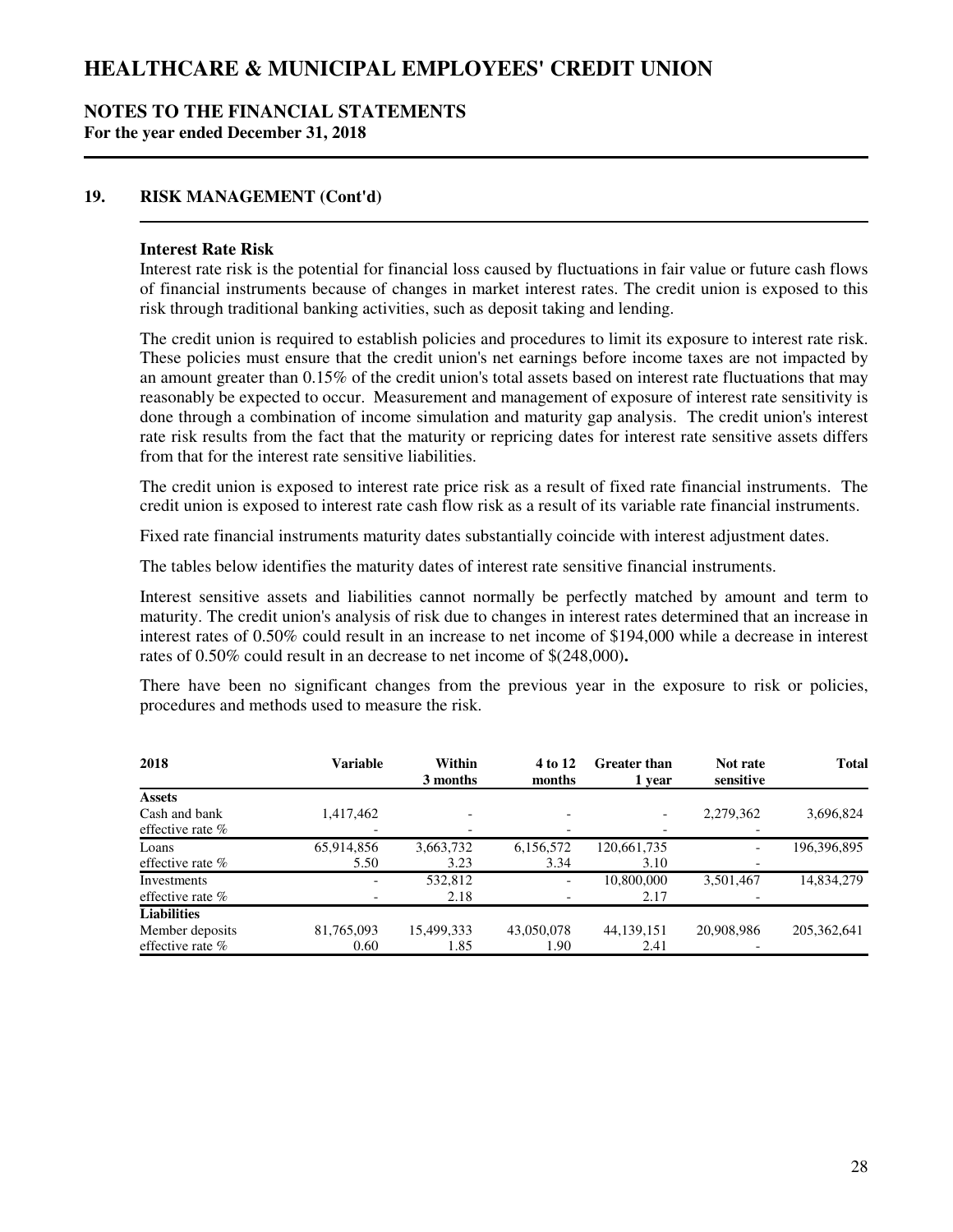### **NOTES TO THE FINANCIAL STATEMENTS For the year ended December 31, 2018**

## **19. RISK MANAGEMENT (Cont'd)**

#### **Interest Rate Risk**

Interest rate risk is the potential for financial loss caused by fluctuations in fair value or future cash flows of financial instruments because of changes in market interest rates. The credit union is exposed to this risk through traditional banking activities, such as deposit taking and lending.

The credit union is required to establish policies and procedures to limit its exposure to interest rate risk. These policies must ensure that the credit union's net earnings before income taxes are not impacted by an amount greater than 0.15% of the credit union's total assets based on interest rate fluctuations that may reasonably be expected to occur. Measurement and management of exposure of interest rate sensitivity is done through a combination of income simulation and maturity gap analysis. The credit union's interest rate risk results from the fact that the maturity or repricing dates for interest rate sensitive assets differs from that for the interest rate sensitive liabilities.

The credit union is exposed to interest rate price risk as a result of fixed rate financial instruments. The credit union is exposed to interest rate cash flow risk as a result of its variable rate financial instruments.

Fixed rate financial instruments maturity dates substantially coincide with interest adjustment dates.

The tables below identifies the maturity dates of interest rate sensitive financial instruments.

Interest sensitive assets and liabilities cannot normally be perfectly matched by amount and term to maturity. The credit union's analysis of risk due to changes in interest rates determined that an increase in interest rates of 0.50% could result in an increase to net income of \$194,000 while a decrease in interest rates of 0.50% could result in an decrease to net income of \$(248,000)**.**

There have been no significant changes from the previous year in the exposure to risk or policies, procedures and methods used to measure the risk.

| 2018               | <b>Variable</b>          | Within<br>3 months | 4 to 12<br>months | Greater than<br>1 year | Not rate<br>sensitive    | <b>Total</b>  |
|--------------------|--------------------------|--------------------|-------------------|------------------------|--------------------------|---------------|
| Assets             |                          |                    |                   |                        |                          |               |
| Cash and bank      | 1,417,462                |                    |                   |                        | 2,279,362                | 3,696,824     |
| effective rate $%$ |                          |                    |                   |                        |                          |               |
| Loans              | 65,914,856               | 3,663,732          | 6,156,572         | 120,661,735            | $\overline{\phantom{0}}$ | 196,396,895   |
| effective rate $%$ | 5.50                     | 3.23               | 3.34              | 3.10                   |                          |               |
| Investments        | $\overline{\phantom{a}}$ | 532,812            |                   | 10,800,000             | 3,501,467                | 14,834,279    |
| effective rate $%$ |                          | 2.18               |                   | 2.17                   |                          |               |
| <b>Liabilities</b> |                          |                    |                   |                        |                          |               |
| Member deposits    | 81,765,093               | 15,499,333         | 43,050,078        | 44,139,151             | 20,908,986               | 205, 362, 641 |
| effective rate $%$ | 0.60                     | 1.85               | 1.90              | 2.41                   |                          |               |